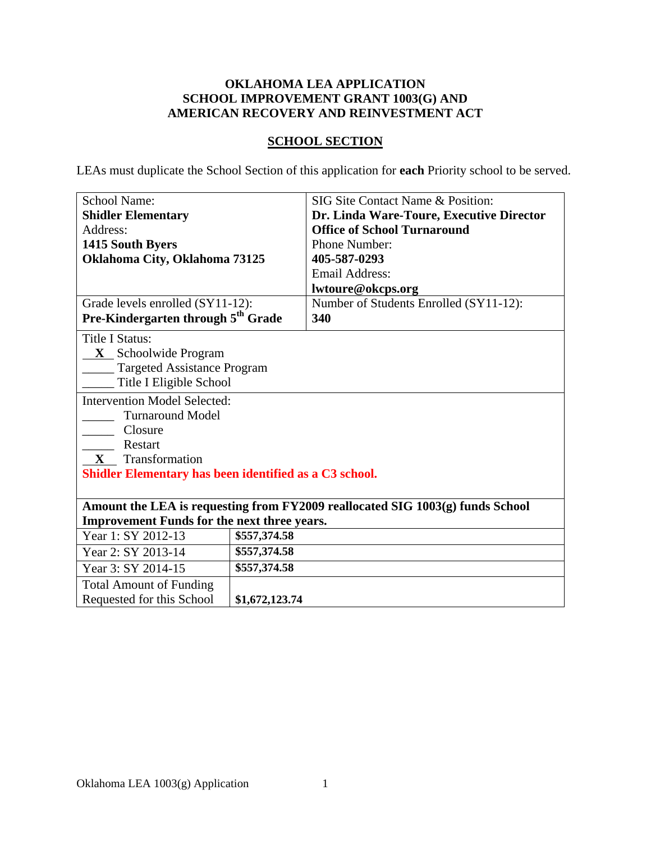## **OKLAHOMA LEA APPLICATION SCHOOL IMPROVEMENT GRANT 1003(G) AND AMERICAN RECOVERY AND REINVESTMENT ACT**

## **SCHOOL SECTION**

LEAs must duplicate the School Section of this application for **each** Priority school to be served.

| <b>School Name:</b>                                    |                                    | SIG Site Contact Name & Position:                                             |
|--------------------------------------------------------|------------------------------------|-------------------------------------------------------------------------------|
| <b>Shidler Elementary</b>                              |                                    | Dr. Linda Ware-Toure, Executive Director                                      |
| Address:                                               | <b>Office of School Turnaround</b> |                                                                               |
| Phone Number:<br>1415 South Byers                      |                                    |                                                                               |
| Oklahoma City, Oklahoma 73125                          |                                    | 405-587-0293                                                                  |
|                                                        |                                    | <b>Email Address:</b>                                                         |
|                                                        |                                    | lwtoure@okcps.org                                                             |
| Grade levels enrolled (SY11-12):                       |                                    | Number of Students Enrolled (SY11-12):                                        |
| Pre-Kindergarten through 5 <sup>th</sup> Grade         |                                    | 340                                                                           |
| <b>Title I Status:</b>                                 |                                    |                                                                               |
| $X$ Schoolwide Program                                 |                                    |                                                                               |
| <b>Targeted Assistance Program</b>                     |                                    |                                                                               |
| Title I Eligible School                                |                                    |                                                                               |
| <b>Intervention Model Selected:</b>                    |                                    |                                                                               |
| <b>Turnaround Model</b>                                |                                    |                                                                               |
| Closure                                                |                                    |                                                                               |
| Restart                                                |                                    |                                                                               |
| Transformation<br>$\mathbf{X}$                         |                                    |                                                                               |
| Shidler Elementary has been identified as a C3 school. |                                    |                                                                               |
|                                                        |                                    |                                                                               |
|                                                        |                                    | Amount the LEA is requesting from FY2009 reallocated SIG 1003(g) funds School |
| <b>Improvement Funds for the next three years.</b>     |                                    |                                                                               |
| Year 1: SY 2012-13                                     | \$557,374.58                       |                                                                               |
| Year 2: SY 2013-14                                     | \$557,374.58                       |                                                                               |
| Year 3: SY 2014-15                                     | \$557,374.58                       |                                                                               |
| <b>Total Amount of Funding</b>                         |                                    |                                                                               |
| Requested for this School                              | \$1,672,123.74                     |                                                                               |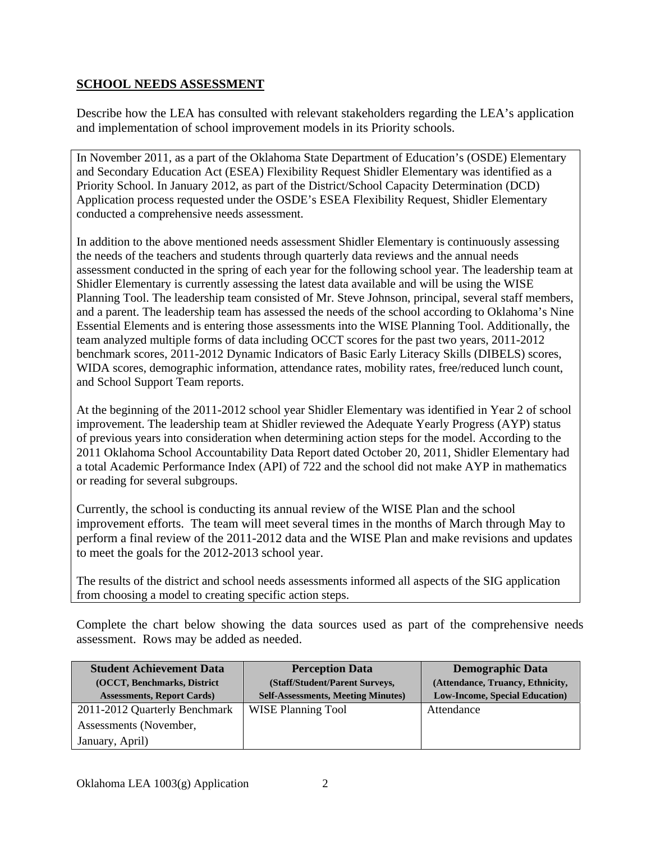## **SCHOOL NEEDS ASSESSMENT**

Describe how the LEA has consulted with relevant stakeholders regarding the LEA's application and implementation of school improvement models in its Priority schools.

In November 2011, as a part of the Oklahoma State Department of Education's (OSDE) Elementary and Secondary Education Act (ESEA) Flexibility Request Shidler Elementary was identified as a Priority School. In January 2012, as part of the District/School Capacity Determination (DCD) Application process requested under the OSDE's ESEA Flexibility Request, Shidler Elementary conducted a comprehensive needs assessment.

In addition to the above mentioned needs assessment Shidler Elementary is continuously assessing the needs of the teachers and students through quarterly data reviews and the annual needs assessment conducted in the spring of each year for the following school year. The leadership team at Shidler Elementary is currently assessing the latest data available and will be using the WISE Planning Tool. The leadership team consisted of Mr. Steve Johnson, principal, several staff members, and a parent. The leadership team has assessed the needs of the school according to Oklahoma's Nine Essential Elements and is entering those assessments into the WISE Planning Tool. Additionally, the team analyzed multiple forms of data including OCCT scores for the past two years, 2011-2012 benchmark scores, 2011-2012 Dynamic Indicators of Basic Early Literacy Skills (DIBELS) scores, WIDA scores, demographic information, attendance rates, mobility rates, free/reduced lunch count, and School Support Team reports.

At the beginning of the 2011-2012 school year Shidler Elementary was identified in Year 2 of school improvement. The leadership team at Shidler reviewed the Adequate Yearly Progress (AYP) status of previous years into consideration when determining action steps for the model. According to the 2011 Oklahoma School Accountability Data Report dated October 20, 2011, Shidler Elementary had a total Academic Performance Index (API) of 722 and the school did not make AYP in mathematics or reading for several subgroups.

Currently, the school is conducting its annual review of the WISE Plan and the school improvement efforts. The team will meet several times in the months of March through May to perform a final review of the 2011-2012 data and the WISE Plan and make revisions and updates to meet the goals for the 2012-2013 school year.

The results of the district and school needs assessments informed all aspects of the SIG application from choosing a model to creating specific action steps.

Complete the chart below showing the data sources used as part of the comprehensive needs assessment. Rows may be added as needed.

| <b>Student Achievement Data</b>   | <b>Perception Data</b>                    | <b>Demographic Data</b>                |
|-----------------------------------|-------------------------------------------|----------------------------------------|
| (OCCT, Benchmarks, District       | (Staff/Student/Parent Surveys,            | (Attendance, Truancy, Ethnicity,       |
| <b>Assessments, Report Cards)</b> | <b>Self-Assessments, Meeting Minutes)</b> | <b>Low-Income, Special Education</b> ) |
| 2011-2012 Quarterly Benchmark     | <b>WISE Planning Tool</b>                 | Attendance                             |
| Assessments (November,            |                                           |                                        |
| January, April)                   |                                           |                                        |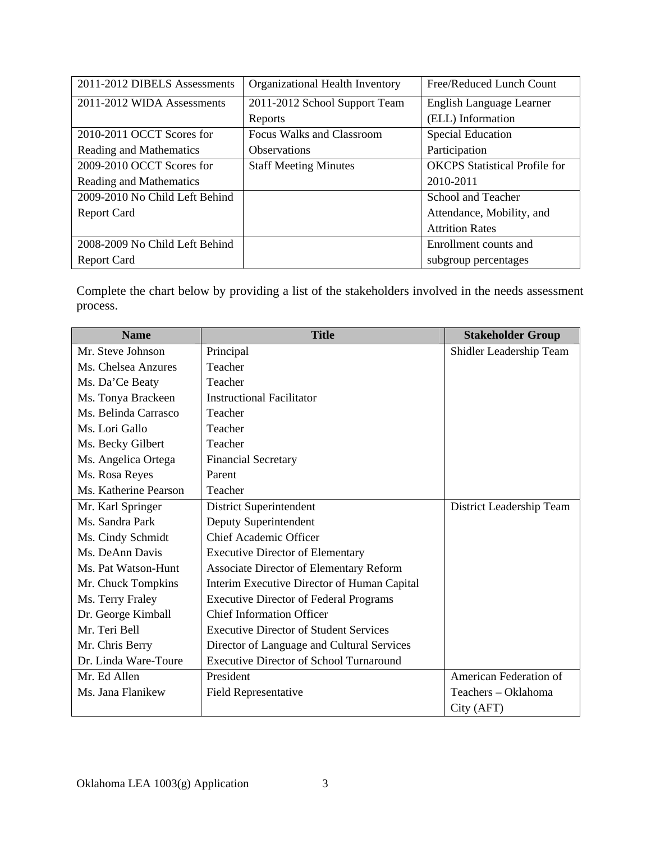| 2011-2012 DIBELS Assessments   | Organizational Health Inventory | Free/Reduced Lunch Count             |
|--------------------------------|---------------------------------|--------------------------------------|
| 2011-2012 WIDA Assessments     | 2011-2012 School Support Team   | English Language Learner             |
|                                | Reports                         | (ELL) Information                    |
| 2010-2011 OCCT Scores for      | Focus Walks and Classroom       | <b>Special Education</b>             |
| Reading and Mathematics        | <b>Observations</b>             | Participation                        |
| 2009-2010 OCCT Scores for      | <b>Staff Meeting Minutes</b>    | <b>OKCPS</b> Statistical Profile for |
| Reading and Mathematics        |                                 | 2010-2011                            |
| 2009-2010 No Child Left Behind |                                 | School and Teacher                   |
| <b>Report Card</b>             |                                 | Attendance, Mobility, and            |
|                                |                                 | <b>Attrition Rates</b>               |
| 2008-2009 No Child Left Behind |                                 | Enrollment counts and                |
| <b>Report Card</b>             |                                 | subgroup percentages                 |

Complete the chart below by providing a list of the stakeholders involved in the needs assessment process.

| <b>Name</b>           | <b>Title</b>                                   | <b>Stakeholder Group</b> |
|-----------------------|------------------------------------------------|--------------------------|
| Mr. Steve Johnson     | Principal                                      | Shidler Leadership Team  |
| Ms. Chelsea Anzures   | Teacher                                        |                          |
| Ms. Da'Ce Beaty       | Teacher                                        |                          |
| Ms. Tonya Brackeen    | <b>Instructional Facilitator</b>               |                          |
| Ms. Belinda Carrasco  | Teacher                                        |                          |
| Ms. Lori Gallo        | Teacher                                        |                          |
| Ms. Becky Gilbert     | Teacher                                        |                          |
| Ms. Angelica Ortega   | <b>Financial Secretary</b>                     |                          |
| Ms. Rosa Reyes        | Parent                                         |                          |
| Ms. Katherine Pearson | Teacher                                        |                          |
| Mr. Karl Springer     | District Superintendent                        | District Leadership Team |
| Ms. Sandra Park       | Deputy Superintendent                          |                          |
| Ms. Cindy Schmidt     | <b>Chief Academic Officer</b>                  |                          |
| Ms. DeAnn Davis       | <b>Executive Director of Elementary</b>        |                          |
| Ms. Pat Watson-Hunt   | <b>Associate Director of Elementary Reform</b> |                          |
| Mr. Chuck Tompkins    | Interim Executive Director of Human Capital    |                          |
| Ms. Terry Fraley      | <b>Executive Director of Federal Programs</b>  |                          |
| Dr. George Kimball    | <b>Chief Information Officer</b>               |                          |
| Mr. Teri Bell         | <b>Executive Director of Student Services</b>  |                          |
| Mr. Chris Berry       | Director of Language and Cultural Services     |                          |
| Dr. Linda Ware-Toure  | <b>Executive Director of School Turnaround</b> |                          |
| Mr. Ed Allen          | President                                      | American Federation of   |
| Ms. Jana Flanikew     | <b>Field Representative</b>                    | Teachers - Oklahoma      |
|                       |                                                | City (AFT)               |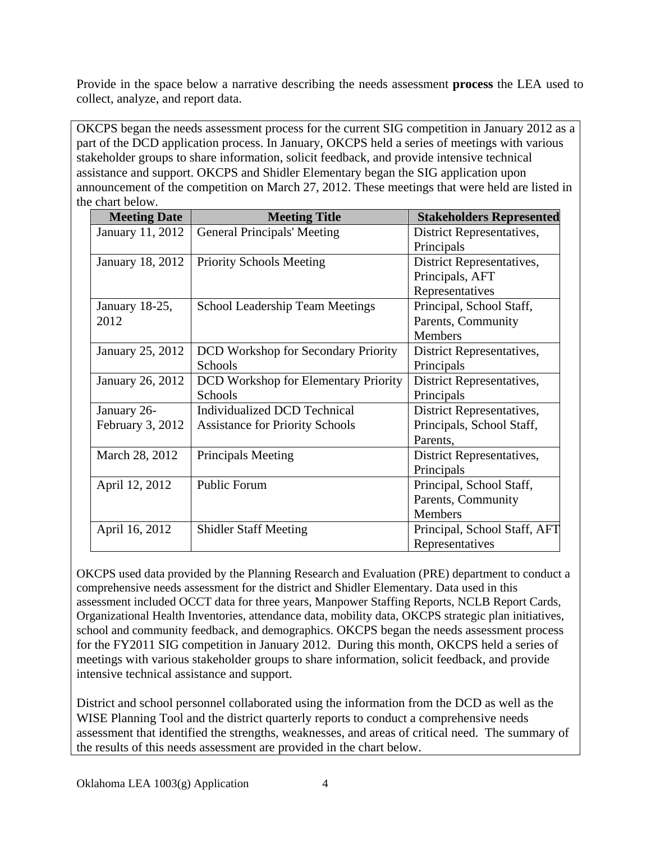Provide in the space below a narrative describing the needs assessment **process** the LEA used to collect, analyze, and report data.

OKCPS began the needs assessment process for the current SIG competition in January 2012 as a part of the DCD application process. In January, OKCPS held a series of meetings with various stakeholder groups to share information, solicit feedback, and provide intensive technical assistance and support. OKCPS and Shidler Elementary began the SIG application upon announcement of the competition on March 27, 2012. These meetings that were held are listed in the chart below.

| <b>Meeting Date</b> | <b>Meeting Title</b>                        | <b>Stakeholders Represented</b> |
|---------------------|---------------------------------------------|---------------------------------|
| January 11, 2012    | <b>General Principals' Meeting</b>          | District Representatives,       |
|                     |                                             | Principals                      |
| January 18, 2012    | <b>Priority Schools Meeting</b>             | District Representatives,       |
|                     |                                             | Principals, AFT                 |
|                     |                                             | Representatives                 |
| January 18-25,      | School Leadership Team Meetings             | Principal, School Staff,        |
| 2012                |                                             | Parents, Community              |
|                     |                                             | <b>Members</b>                  |
| January 25, 2012    | <b>DCD</b> Workshop for Secondary Priority  | District Representatives,       |
|                     | Schools                                     | Principals                      |
| January 26, 2012    | <b>DCD</b> Workshop for Elementary Priority | District Representatives,       |
|                     | Schools                                     | Principals                      |
| January 26-         | <b>Individualized DCD Technical</b>         | District Representatives,       |
| February 3, 2012    | <b>Assistance for Priority Schools</b>      | Principals, School Staff,       |
|                     |                                             | Parents,                        |
| March 28, 2012      | Principals Meeting                          | District Representatives,       |
|                     |                                             | Principals                      |
| April 12, 2012      | <b>Public Forum</b>                         | Principal, School Staff,        |
|                     |                                             | Parents, Community              |
|                     |                                             | <b>Members</b>                  |
| April 16, 2012      | <b>Shidler Staff Meeting</b>                | Principal, School Staff, AFT    |
|                     |                                             | Representatives                 |

OKCPS used data provided by the Planning Research and Evaluation (PRE) department to conduct a comprehensive needs assessment for the district and Shidler Elementary. Data used in this assessment included OCCT data for three years, Manpower Staffing Reports, NCLB Report Cards, Organizational Health Inventories, attendance data, mobility data, OKCPS strategic plan initiatives, school and community feedback, and demographics. OKCPS began the needs assessment process for the FY2011 SIG competition in January 2012. During this month, OKCPS held a series of meetings with various stakeholder groups to share information, solicit feedback, and provide intensive technical assistance and support.

District and school personnel collaborated using the information from the DCD as well as the WISE Planning Tool and the district quarterly reports to conduct a comprehensive needs assessment that identified the strengths, weaknesses, and areas of critical need. The summary of the results of this needs assessment are provided in the chart below.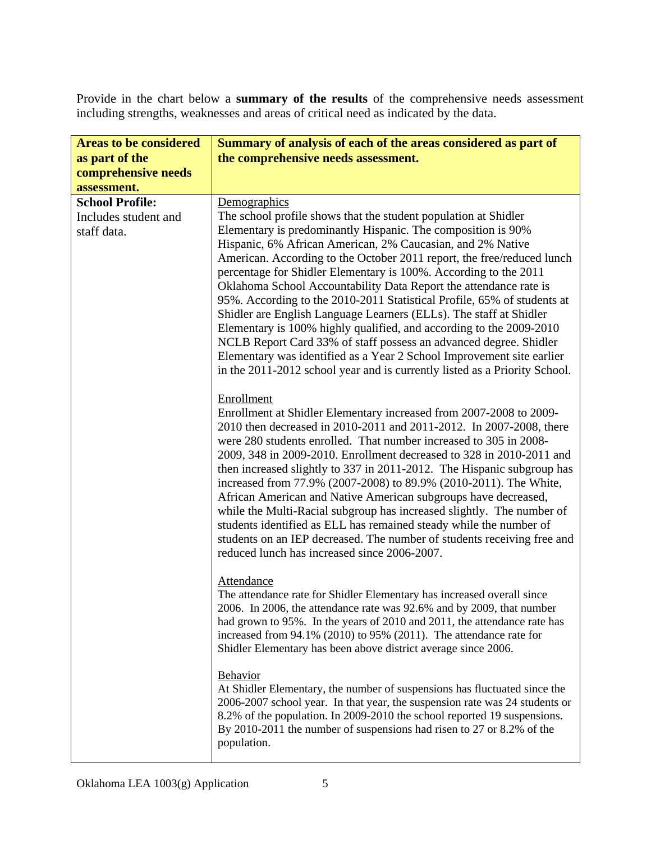Provide in the chart below a **summary of the results** of the comprehensive needs assessment including strengths, weaknesses and areas of critical need as indicated by the data.

| <b>Areas to be considered</b> | Summary of analysis of each of the areas considered as part of                                                                                    |
|-------------------------------|---------------------------------------------------------------------------------------------------------------------------------------------------|
| as part of the                | the comprehensive needs assessment.                                                                                                               |
| comprehensive needs           |                                                                                                                                                   |
| assessment.                   |                                                                                                                                                   |
| <b>School Profile:</b>        | Demographics                                                                                                                                      |
| Includes student and          | The school profile shows that the student population at Shidler                                                                                   |
| staff data.                   | Elementary is predominantly Hispanic. The composition is 90%<br>Hispanic, 6% African American, 2% Caucasian, and 2% Native                        |
|                               | American. According to the October 2011 report, the free/reduced lunch                                                                            |
|                               | percentage for Shidler Elementary is 100%. According to the 2011<br>Oklahoma School Accountability Data Report the attendance rate is             |
|                               | 95%. According to the 2010-2011 Statistical Profile, 65% of students at<br>Shidler are English Language Learners (ELLs). The staff at Shidler     |
|                               | Elementary is 100% highly qualified, and according to the 2009-2010                                                                               |
|                               | NCLB Report Card 33% of staff possess an advanced degree. Shidler<br>Elementary was identified as a Year 2 School Improvement site earlier        |
|                               | in the 2011-2012 school year and is currently listed as a Priority School.                                                                        |
|                               | Enrollment<br>Enrollment at Shidler Elementary increased from 2007-2008 to 2009-                                                                  |
|                               | 2010 then decreased in 2010-2011 and 2011-2012. In 2007-2008, there                                                                               |
|                               | were 280 students enrolled. That number increased to 305 in 2008-<br>2009, 348 in 2009-2010. Enrollment decreased to 328 in 2010-2011 and         |
|                               | then increased slightly to 337 in 2011-2012. The Hispanic subgroup has                                                                            |
|                               | increased from 77.9% (2007-2008) to 89.9% (2010-2011). The White,<br>African American and Native American subgroups have decreased,               |
|                               | while the Multi-Racial subgroup has increased slightly. The number of<br>students identified as ELL has remained steady while the number of       |
|                               | students on an IEP decreased. The number of students receiving free and                                                                           |
|                               | reduced lunch has increased since 2006-2007.                                                                                                      |
|                               | Attendance                                                                                                                                        |
|                               | The attendance rate for Shidler Elementary has increased overall since<br>2006. In 2006, the attendance rate was 92.6% and by 2009, that number   |
|                               | had grown to 95%. In the years of 2010 and 2011, the attendance rate has                                                                          |
|                               | increased from $94.1\%$ (2010) to 95% (2011). The attendance rate for<br>Shidler Elementary has been above district average since 2006.           |
|                               | Behavior<br>At Shidler Elementary, the number of suspensions has fluctuated since the                                                             |
|                               | 2006-2007 school year. In that year, the suspension rate was 24 students or                                                                       |
|                               | 8.2% of the population. In 2009-2010 the school reported 19 suspensions.<br>By 2010-2011 the number of suspensions had risen to 27 or 8.2% of the |
|                               | population.                                                                                                                                       |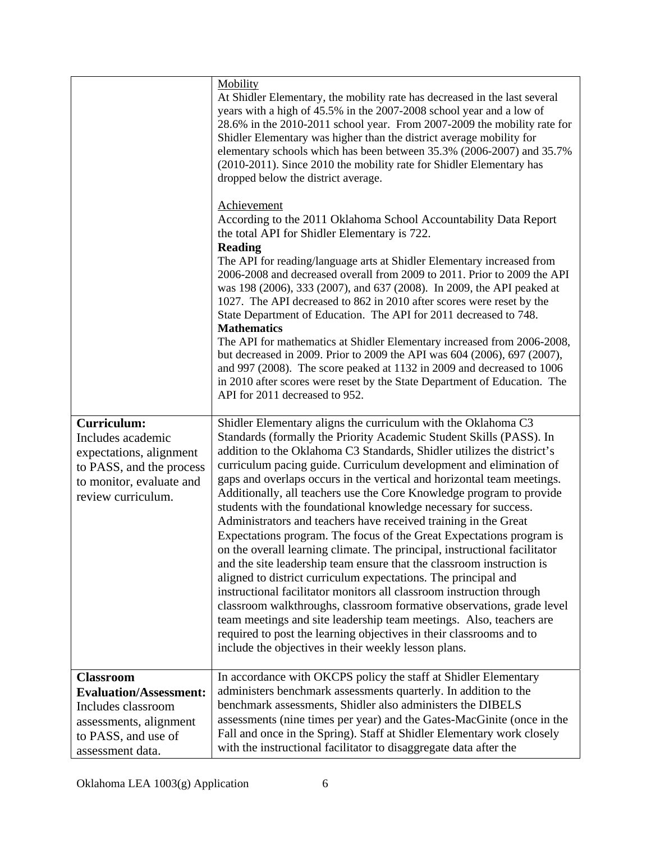|                                                                                                                                                  | Mobility<br>At Shidler Elementary, the mobility rate has decreased in the last several<br>years with a high of 45.5% in the 2007-2008 school year and a low of<br>28.6% in the 2010-2011 school year. From 2007-2009 the mobility rate for<br>Shidler Elementary was higher than the district average mobility for<br>elementary schools which has been between 35.3% (2006-2007) and 35.7%<br>(2010-2011). Since 2010 the mobility rate for Shidler Elementary has<br>dropped below the district average.<br>Achievement<br>According to the 2011 Oklahoma School Accountability Data Report<br>the total API for Shidler Elementary is 722.<br><b>Reading</b><br>The API for reading/language arts at Shidler Elementary increased from<br>2006-2008 and decreased overall from 2009 to 2011. Prior to 2009 the API<br>was 198 (2006), 333 (2007), and 637 (2008). In 2009, the API peaked at<br>1027. The API decreased to 862 in 2010 after scores were reset by the<br>State Department of Education. The API for 2011 decreased to 748.<br><b>Mathematics</b><br>The API for mathematics at Shidler Elementary increased from 2006-2008,<br>but decreased in 2009. Prior to 2009 the API was 604 (2006), 697 (2007),<br>and 997 (2008). The score peaked at 1132 in 2009 and decreased to 1006<br>in 2010 after scores were reset by the State Department of Education. The<br>API for 2011 decreased to 952. |
|--------------------------------------------------------------------------------------------------------------------------------------------------|---------------------------------------------------------------------------------------------------------------------------------------------------------------------------------------------------------------------------------------------------------------------------------------------------------------------------------------------------------------------------------------------------------------------------------------------------------------------------------------------------------------------------------------------------------------------------------------------------------------------------------------------------------------------------------------------------------------------------------------------------------------------------------------------------------------------------------------------------------------------------------------------------------------------------------------------------------------------------------------------------------------------------------------------------------------------------------------------------------------------------------------------------------------------------------------------------------------------------------------------------------------------------------------------------------------------------------------------------------------------------------------------------------------------|
| <b>Curriculum:</b><br>Includes academic<br>expectations, alignment<br>to PASS, and the process<br>to monitor, evaluate and<br>review curriculum. | Shidler Elementary aligns the curriculum with the Oklahoma C3<br>Standards (formally the Priority Academic Student Skills (PASS). In<br>addition to the Oklahoma C3 Standards, Shidler utilizes the district's<br>curriculum pacing guide. Curriculum development and elimination of<br>gaps and overlaps occurs in the vertical and horizontal team meetings.<br>Additionally, all teachers use the Core Knowledge program to provide<br>students with the foundational knowledge necessary for success.<br>Administrators and teachers have received training in the Great<br>Expectations program. The focus of the Great Expectations program is<br>on the overall learning climate. The principal, instructional facilitator<br>and the site leadership team ensure that the classroom instruction is<br>aligned to district curriculum expectations. The principal and<br>instructional facilitator monitors all classroom instruction through<br>classroom walkthroughs, classroom formative observations, grade level<br>team meetings and site leadership team meetings. Also, teachers are<br>required to post the learning objectives in their classrooms and to<br>include the objectives in their weekly lesson plans.                                                                                                                                                                                 |
| <b>Classroom</b><br><b>Evaluation/Assessment:</b><br>Includes classroom<br>assessments, alignment<br>to PASS, and use of<br>assessment data.     | In accordance with OKCPS policy the staff at Shidler Elementary<br>administers benchmark assessments quarterly. In addition to the<br>benchmark assessments, Shidler also administers the DIBELS<br>assessments (nine times per year) and the Gates-MacGinite (once in the<br>Fall and once in the Spring). Staff at Shidler Elementary work closely<br>with the instructional facilitator to disaggregate data after the                                                                                                                                                                                                                                                                                                                                                                                                                                                                                                                                                                                                                                                                                                                                                                                                                                                                                                                                                                                           |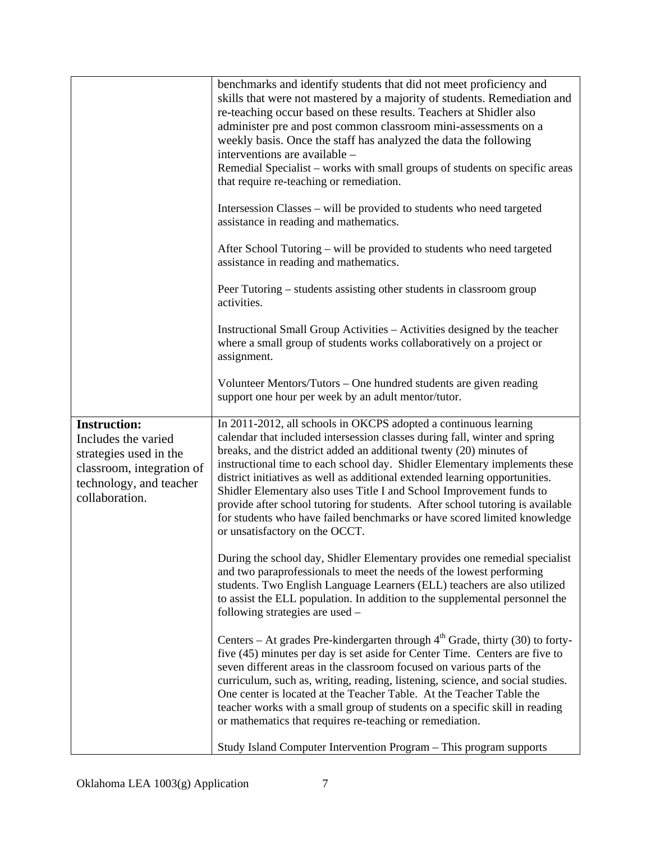|                                                                                                                                                | benchmarks and identify students that did not meet proficiency and<br>skills that were not mastered by a majority of students. Remediation and<br>re-teaching occur based on these results. Teachers at Shidler also<br>administer pre and post common classroom mini-assessments on a<br>weekly basis. Once the staff has analyzed the data the following<br>interventions are available –<br>Remedial Specialist – works with small groups of students on specific areas<br>that require re-teaching or remediation.<br>Intersession Classes – will be provided to students who need targeted<br>assistance in reading and mathematics.<br>After School Tutoring – will be provided to students who need targeted<br>assistance in reading and mathematics. |
|------------------------------------------------------------------------------------------------------------------------------------------------|---------------------------------------------------------------------------------------------------------------------------------------------------------------------------------------------------------------------------------------------------------------------------------------------------------------------------------------------------------------------------------------------------------------------------------------------------------------------------------------------------------------------------------------------------------------------------------------------------------------------------------------------------------------------------------------------------------------------------------------------------------------|
|                                                                                                                                                | Peer Tutoring – students assisting other students in classroom group<br>activities.                                                                                                                                                                                                                                                                                                                                                                                                                                                                                                                                                                                                                                                                           |
|                                                                                                                                                | Instructional Small Group Activities - Activities designed by the teacher<br>where a small group of students works collaboratively on a project or<br>assignment.                                                                                                                                                                                                                                                                                                                                                                                                                                                                                                                                                                                             |
|                                                                                                                                                | Volunteer Mentors/Tutors – One hundred students are given reading<br>support one hour per week by an adult mentor/tutor.                                                                                                                                                                                                                                                                                                                                                                                                                                                                                                                                                                                                                                      |
| <b>Instruction:</b><br>Includes the varied<br>strategies used in the<br>classroom, integration of<br>technology, and teacher<br>collaboration. | In 2011-2012, all schools in OKCPS adopted a continuous learning<br>calendar that included intersession classes during fall, winter and spring<br>breaks, and the district added an additional twenty (20) minutes of<br>instructional time to each school day. Shidler Elementary implements these<br>district initiatives as well as additional extended learning opportunities.<br>Shidler Elementary also uses Title I and School Improvement funds to<br>provide after school tutoring for students. After school tutoring is available<br>for students who have failed benchmarks or have scored limited knowledge<br>or unsatisfactory on the OCCT.                                                                                                    |
|                                                                                                                                                | During the school day, Shidler Elementary provides one remedial specialist<br>and two paraprofessionals to meet the needs of the lowest performing<br>students. Two English Language Learners (ELL) teachers are also utilized<br>to assist the ELL population. In addition to the supplemental personnel the<br>following strategies are used -                                                                                                                                                                                                                                                                                                                                                                                                              |
|                                                                                                                                                | Centers – At grades Pre-kindergarten through $4th$ Grade, thirty (30) to forty-<br>five (45) minutes per day is set aside for Center Time. Centers are five to<br>seven different areas in the classroom focused on various parts of the<br>curriculum, such as, writing, reading, listening, science, and social studies.<br>One center is located at the Teacher Table. At the Teacher Table the<br>teacher works with a small group of students on a specific skill in reading<br>or mathematics that requires re-teaching or remediation.<br>Study Island Computer Intervention Program – This program supports                                                                                                                                           |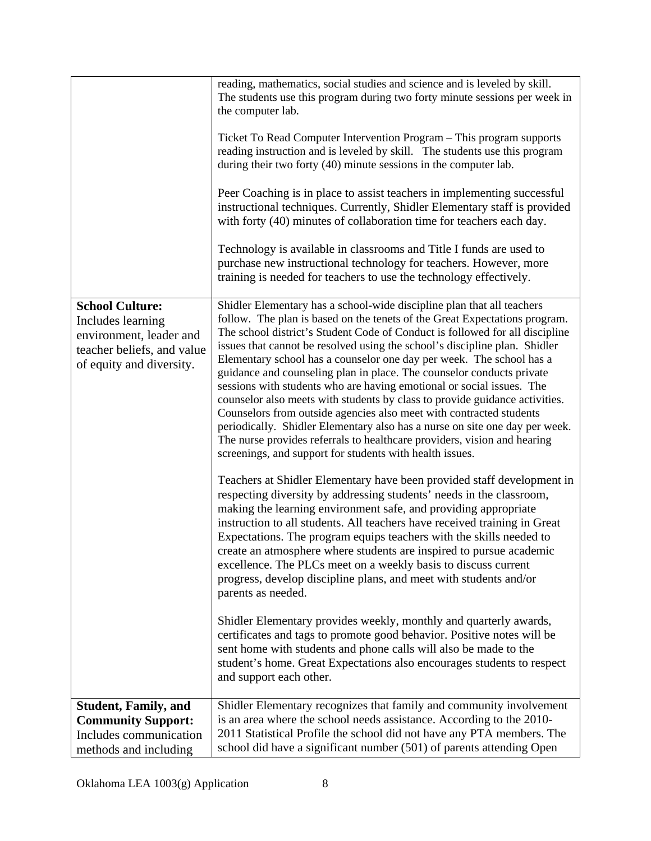|                                                                                                                                  | reading, mathematics, social studies and science and is leveled by skill.<br>The students use this program during two forty minute sessions per week in<br>the computer lab.<br>Ticket To Read Computer Intervention Program - This program supports<br>reading instruction and is leveled by skill. The students use this program<br>during their two forty (40) minute sessions in the computer lab.<br>Peer Coaching is in place to assist teachers in implementing successful<br>instructional techniques. Currently, Shidler Elementary staff is provided<br>with forty (40) minutes of collaboration time for teachers each day.<br>Technology is available in classrooms and Title I funds are used to<br>purchase new instructional technology for teachers. However, more<br>training is needed for teachers to use the technology effectively.                                                                                                                                                                                                                                                                                                                                                                                                                                                                                                                                                                                                                                                                                                                                                                                                                                                                                                                                                                            |
|----------------------------------------------------------------------------------------------------------------------------------|-------------------------------------------------------------------------------------------------------------------------------------------------------------------------------------------------------------------------------------------------------------------------------------------------------------------------------------------------------------------------------------------------------------------------------------------------------------------------------------------------------------------------------------------------------------------------------------------------------------------------------------------------------------------------------------------------------------------------------------------------------------------------------------------------------------------------------------------------------------------------------------------------------------------------------------------------------------------------------------------------------------------------------------------------------------------------------------------------------------------------------------------------------------------------------------------------------------------------------------------------------------------------------------------------------------------------------------------------------------------------------------------------------------------------------------------------------------------------------------------------------------------------------------------------------------------------------------------------------------------------------------------------------------------------------------------------------------------------------------------------------------------------------------------------------------------------------------|
| <b>School Culture:</b><br>Includes learning<br>environment, leader and<br>teacher beliefs, and value<br>of equity and diversity. | Shidler Elementary has a school-wide discipline plan that all teachers<br>follow. The plan is based on the tenets of the Great Expectations program.<br>The school district's Student Code of Conduct is followed for all discipline<br>issues that cannot be resolved using the school's discipline plan. Shidler<br>Elementary school has a counselor one day per week. The school has a<br>guidance and counseling plan in place. The counselor conducts private<br>sessions with students who are having emotional or social issues. The<br>counselor also meets with students by class to provide guidance activities.<br>Counselors from outside agencies also meet with contracted students<br>periodically. Shidler Elementary also has a nurse on site one day per week.<br>The nurse provides referrals to healthcare providers, vision and hearing<br>screenings, and support for students with health issues.<br>Teachers at Shidler Elementary have been provided staff development in<br>respecting diversity by addressing students' needs in the classroom,<br>making the learning environment safe, and providing appropriate<br>instruction to all students. All teachers have received training in Great<br>Expectations. The program equips teachers with the skills needed to<br>create an atmosphere where students are inspired to pursue academic<br>excellence. The PLCs meet on a weekly basis to discuss current<br>progress, develop discipline plans, and meet with students and/or<br>parents as needed.<br>Shidler Elementary provides weekly, monthly and quarterly awards,<br>certificates and tags to promote good behavior. Positive notes will be<br>sent home with students and phone calls will also be made to the<br>student's home. Great Expectations also encourages students to respect |
|                                                                                                                                  | and support each other.                                                                                                                                                                                                                                                                                                                                                                                                                                                                                                                                                                                                                                                                                                                                                                                                                                                                                                                                                                                                                                                                                                                                                                                                                                                                                                                                                                                                                                                                                                                                                                                                                                                                                                                                                                                                             |
| <b>Student, Family, and</b><br><b>Community Support:</b><br>Includes communication<br>methods and including                      | Shidler Elementary recognizes that family and community involvement<br>is an area where the school needs assistance. According to the 2010-<br>2011 Statistical Profile the school did not have any PTA members. The<br>school did have a significant number (501) of parents attending Open                                                                                                                                                                                                                                                                                                                                                                                                                                                                                                                                                                                                                                                                                                                                                                                                                                                                                                                                                                                                                                                                                                                                                                                                                                                                                                                                                                                                                                                                                                                                        |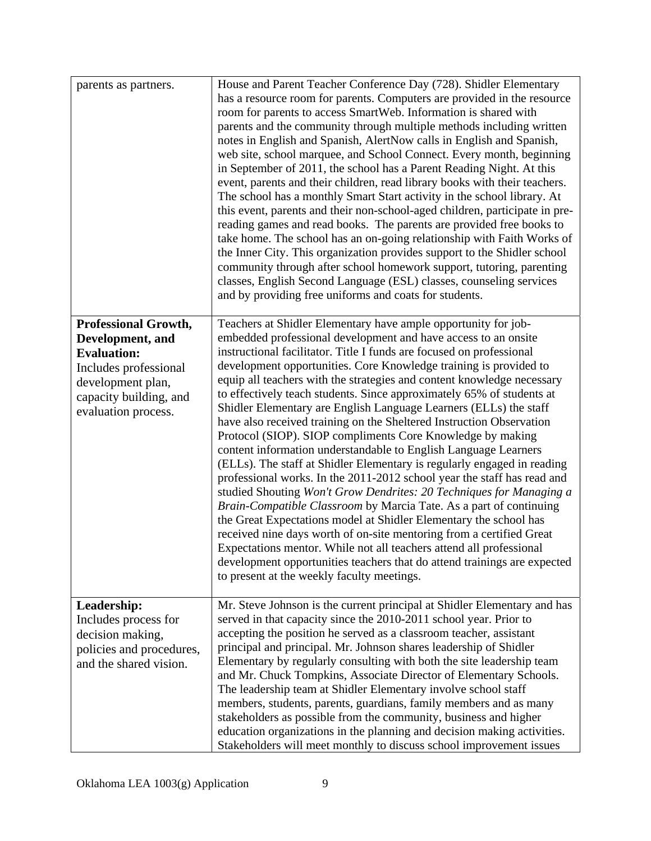| parents as partners.                                                                                                                                                 | House and Parent Teacher Conference Day (728). Shidler Elementary<br>has a resource room for parents. Computers are provided in the resource<br>room for parents to access SmartWeb. Information is shared with<br>parents and the community through multiple methods including written<br>notes in English and Spanish, AlertNow calls in English and Spanish,<br>web site, school marquee, and School Connect. Every month, beginning<br>in September of 2011, the school has a Parent Reading Night. At this<br>event, parents and their children, read library books with their teachers.<br>The school has a monthly Smart Start activity in the school library. At<br>this event, parents and their non-school-aged children, participate in pre-<br>reading games and read books. The parents are provided free books to<br>take home. The school has an on-going relationship with Faith Works of<br>the Inner City. This organization provides support to the Shidler school<br>community through after school homework support, tutoring, parenting<br>classes, English Second Language (ESL) classes, counseling services<br>and by providing free uniforms and coats for students.                                                                                                                                                                  |
|----------------------------------------------------------------------------------------------------------------------------------------------------------------------|-----------------------------------------------------------------------------------------------------------------------------------------------------------------------------------------------------------------------------------------------------------------------------------------------------------------------------------------------------------------------------------------------------------------------------------------------------------------------------------------------------------------------------------------------------------------------------------------------------------------------------------------------------------------------------------------------------------------------------------------------------------------------------------------------------------------------------------------------------------------------------------------------------------------------------------------------------------------------------------------------------------------------------------------------------------------------------------------------------------------------------------------------------------------------------------------------------------------------------------------------------------------------------------------------------------------------------------------------------------------|
| <b>Professional Growth,</b><br>Development, and<br><b>Evaluation:</b><br>Includes professional<br>development plan,<br>capacity building, and<br>evaluation process. | Teachers at Shidler Elementary have ample opportunity for job-<br>embedded professional development and have access to an onsite<br>instructional facilitator. Title I funds are focused on professional<br>development opportunities. Core Knowledge training is provided to<br>equip all teachers with the strategies and content knowledge necessary<br>to effectively teach students. Since approximately 65% of students at<br>Shidler Elementary are English Language Learners (ELLs) the staff<br>have also received training on the Sheltered Instruction Observation<br>Protocol (SIOP). SIOP compliments Core Knowledge by making<br>content information understandable to English Language Learners<br>(ELLs). The staff at Shidler Elementary is regularly engaged in reading<br>professional works. In the 2011-2012 school year the staff has read and<br>studied Shouting Won't Grow Dendrites: 20 Techniques for Managing a<br>Brain-Compatible Classroom by Marcia Tate. As a part of continuing<br>the Great Expectations model at Shidler Elementary the school has<br>received nine days worth of on-site mentoring from a certified Great<br>Expectations mentor. While not all teachers attend all professional<br>development opportunities teachers that do attend trainings are expected<br>to present at the weekly faculty meetings. |
| Leadership:<br>Includes process for<br>decision making,<br>policies and procedures,<br>and the shared vision.                                                        | Mr. Steve Johnson is the current principal at Shidler Elementary and has<br>served in that capacity since the 2010-2011 school year. Prior to<br>accepting the position he served as a classroom teacher, assistant<br>principal and principal. Mr. Johnson shares leadership of Shidler<br>Elementary by regularly consulting with both the site leadership team<br>and Mr. Chuck Tompkins, Associate Director of Elementary Schools.<br>The leadership team at Shidler Elementary involve school staff<br>members, students, parents, guardians, family members and as many<br>stakeholders as possible from the community, business and higher<br>education organizations in the planning and decision making activities.<br>Stakeholders will meet monthly to discuss school improvement issues                                                                                                                                                                                                                                                                                                                                                                                                                                                                                                                                                             |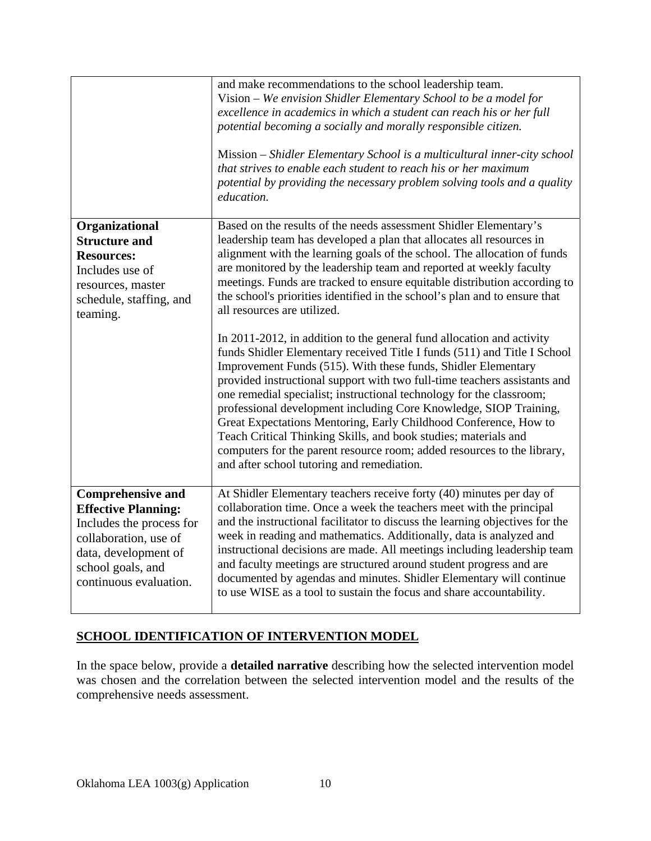|                                                                                                                                                                                    | and make recommendations to the school leadership team.<br>Vision – We envision Shidler Elementary School to be a model for<br>excellence in academics in which a student can reach his or her full<br>potential becoming a socially and morally responsible citizen.<br>Mission – Shidler Elementary School is a multicultural inner-city school<br>that strives to enable each student to reach his or her maximum<br>potential by providing the necessary problem solving tools and a quality<br>education.                                                                                                                                                                                               |
|------------------------------------------------------------------------------------------------------------------------------------------------------------------------------------|--------------------------------------------------------------------------------------------------------------------------------------------------------------------------------------------------------------------------------------------------------------------------------------------------------------------------------------------------------------------------------------------------------------------------------------------------------------------------------------------------------------------------------------------------------------------------------------------------------------------------------------------------------------------------------------------------------------|
| Organizational<br><b>Structure and</b><br><b>Resources:</b><br>Includes use of<br>resources, master<br>schedule, staffing, and<br>teaming.                                         | Based on the results of the needs assessment Shidler Elementary's<br>leadership team has developed a plan that allocates all resources in<br>alignment with the learning goals of the school. The allocation of funds<br>are monitored by the leadership team and reported at weekly faculty<br>meetings. Funds are tracked to ensure equitable distribution according to<br>the school's priorities identified in the school's plan and to ensure that<br>all resources are utilized.                                                                                                                                                                                                                       |
|                                                                                                                                                                                    | In 2011-2012, in addition to the general fund allocation and activity<br>funds Shidler Elementary received Title I funds (511) and Title I School<br>Improvement Funds (515). With these funds, Shidler Elementary<br>provided instructional support with two full-time teachers assistants and<br>one remedial specialist; instructional technology for the classroom;<br>professional development including Core Knowledge, SIOP Training,<br>Great Expectations Mentoring, Early Childhood Conference, How to<br>Teach Critical Thinking Skills, and book studies; materials and<br>computers for the parent resource room; added resources to the library,<br>and after school tutoring and remediation. |
| <b>Comprehensive and</b><br><b>Effective Planning:</b><br>Includes the process for<br>collaboration, use of<br>data, development of<br>school goals, and<br>continuous evaluation. | At Shidler Elementary teachers receive forty (40) minutes per day of<br>collaboration time. Once a week the teachers meet with the principal<br>and the instructional facilitator to discuss the learning objectives for the<br>week in reading and mathematics. Additionally, data is analyzed and<br>instructional decisions are made. All meetings including leadership team<br>and faculty meetings are structured around student progress and are<br>documented by agendas and minutes. Shidler Elementary will continue<br>to use WISE as a tool to sustain the focus and share accountability.                                                                                                        |

# **SCHOOL IDENTIFICATION OF INTERVENTION MODEL**

In the space below, provide a **detailed narrative** describing how the selected intervention model was chosen and the correlation between the selected intervention model and the results of the comprehensive needs assessment.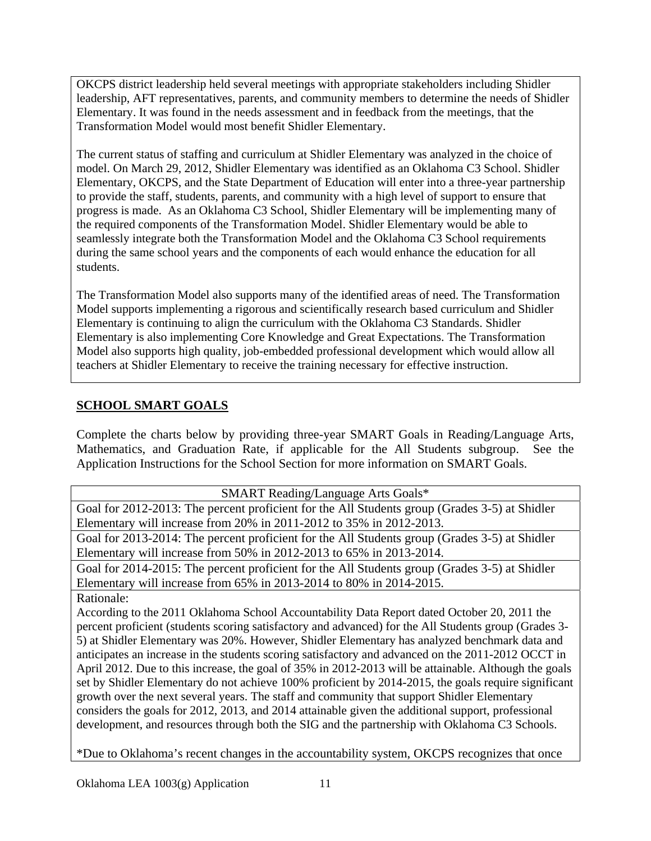OKCPS district leadership held several meetings with appropriate stakeholders including Shidler leadership, AFT representatives, parents, and community members to determine the needs of Shidler Elementary. It was found in the needs assessment and in feedback from the meetings, that the Transformation Model would most benefit Shidler Elementary.

The current status of staffing and curriculum at Shidler Elementary was analyzed in the choice of model. On March 29, 2012, Shidler Elementary was identified as an Oklahoma C3 School. Shidler Elementary, OKCPS, and the State Department of Education will enter into a three-year partnership to provide the staff, students, parents, and community with a high level of support to ensure that progress is made. As an Oklahoma C3 School, Shidler Elementary will be implementing many of the required components of the Transformation Model. Shidler Elementary would be able to seamlessly integrate both the Transformation Model and the Oklahoma C3 School requirements during the same school years and the components of each would enhance the education for all students.

The Transformation Model also supports many of the identified areas of need. The Transformation Model supports implementing a rigorous and scientifically research based curriculum and Shidler Elementary is continuing to align the curriculum with the Oklahoma C3 Standards. Shidler Elementary is also implementing Core Knowledge and Great Expectations. The Transformation Model also supports high quality, job-embedded professional development which would allow all teachers at Shidler Elementary to receive the training necessary for effective instruction.

## **SCHOOL SMART GOALS**

Complete the charts below by providing three-year SMART Goals in Reading/Language Arts, Mathematics, and Graduation Rate, if applicable for the All Students subgroup. See the Application Instructions for the School Section for more information on SMART Goals.

| <b>SMART Reading/Language Arts Goals*</b>                                                             |
|-------------------------------------------------------------------------------------------------------|
| Goal for 2012-2013: The percent proficient for the All Students group (Grades 3-5) at Shidler         |
| Elementary will increase from 20% in 2011-2012 to 35% in 2012-2013.                                   |
| Goal for 2013-2014: The percent proficient for the All Students group (Grades 3-5) at Shidler         |
| Elementary will increase from 50% in 2012-2013 to 65% in 2013-2014.                                   |
| Goal for 2014-2015: The percent proficient for the All Students group (Grades 3-5) at Shidler         |
| Elementary will increase from 65% in 2013-2014 to 80% in 2014-2015.                                   |
| Rationale:                                                                                            |
| According to the 2011 Oklahoma School Accountability Data Report dated October 20, 2011 the           |
| percent proficient (students scoring satisfactory and advanced) for the All Students group (Grades 3- |
| 5) at Shidler Elementary was 20%. However, Shidler Elementary has analyzed benchmark data and         |
| anticipates an increase in the students scoring satisfactory and advanced on the 2011-2012 OCCT in    |
| April 2012. Due to this increase, the goal of 35% in 2012-2013 will be attainable. Although the goals |
| set by Shidler Elementary do not achieve 100% proficient by 2014-2015, the goals require significant  |
| growth over the next several years. The staff and community that support Shidler Elementary           |
| considers the goals for 2012, 2013, and 2014 attainable given the additional support, professional    |
| development, and resources through both the SIG and the partnership with Oklahoma C3 Schools.         |
|                                                                                                       |

\*Due to Oklahoma's recent changes in the accountability system, OKCPS recognizes that once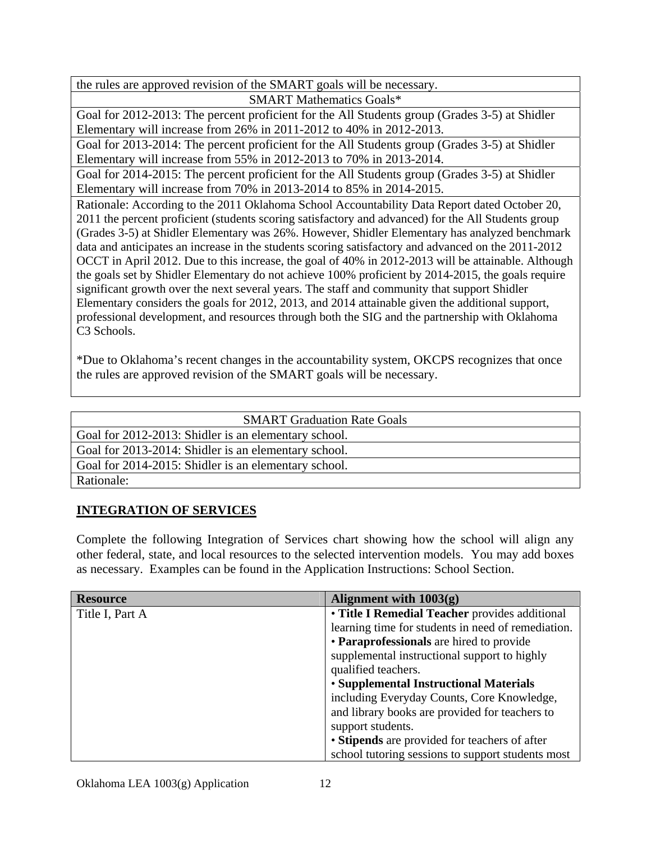the rules are approved revision of the SMART goals will be necessary.

SMART Mathematics Goals\*

Goal for 2012-2013: The percent proficient for the All Students group (Grades 3-5) at Shidler Elementary will increase from 26% in 2011-2012 to 40% in 2012-2013.

Goal for 2013-2014: The percent proficient for the All Students group (Grades 3-5) at Shidler Elementary will increase from 55% in 2012-2013 to 70% in 2013-2014.

Goal for 2014-2015: The percent proficient for the All Students group (Grades 3-5) at Shidler Elementary will increase from 70% in 2013-2014 to 85% in 2014-2015.

Rationale: According to the 2011 Oklahoma School Accountability Data Report dated October 20, 2011 the percent proficient (students scoring satisfactory and advanced) for the All Students group (Grades 3-5) at Shidler Elementary was 26%. However, Shidler Elementary has analyzed benchmark data and anticipates an increase in the students scoring satisfactory and advanced on the 2011-2012 OCCT in April 2012. Due to this increase, the goal of 40% in 2012-2013 will be attainable. Although the goals set by Shidler Elementary do not achieve 100% proficient by 2014-2015, the goals require significant growth over the next several years. The staff and community that support Shidler Elementary considers the goals for 2012, 2013, and 2014 attainable given the additional support, professional development, and resources through both the SIG and the partnership with Oklahoma C<sub>3</sub> Schools.

\*Due to Oklahoma's recent changes in the accountability system, OKCPS recognizes that once the rules are approved revision of the SMART goals will be necessary.

| <b>SMART Graduation Rate Goals</b>                   |  |  |  |
|------------------------------------------------------|--|--|--|
| Goal for 2012-2013: Shidler is an elementary school. |  |  |  |
| Goal for 2013-2014: Shidler is an elementary school. |  |  |  |
| Goal for 2014-2015: Shidler is an elementary school. |  |  |  |
| Rationale:                                           |  |  |  |

## **INTEGRATION OF SERVICES**

Complete the following Integration of Services chart showing how the school will align any other federal, state, and local resources to the selected intervention models. You may add boxes as necessary. Examples can be found in the Application Instructions: School Section.

| <b>Resource</b> | Alignment with $1003(g)$                           |  |  |
|-----------------|----------------------------------------------------|--|--|
| Title I, Part A | • Title I Remedial Teacher provides additional     |  |  |
|                 | learning time for students in need of remediation. |  |  |
|                 | • Paraprofessionals are hired to provide           |  |  |
|                 | supplemental instructional support to highly       |  |  |
|                 | qualified teachers.                                |  |  |
|                 | • Supplemental Instructional Materials             |  |  |
|                 | including Everyday Counts, Core Knowledge,         |  |  |
|                 | and library books are provided for teachers to     |  |  |
|                 | support students.                                  |  |  |
|                 | • Stipends are provided for teachers of after      |  |  |
|                 | school tutoring sessions to support students most  |  |  |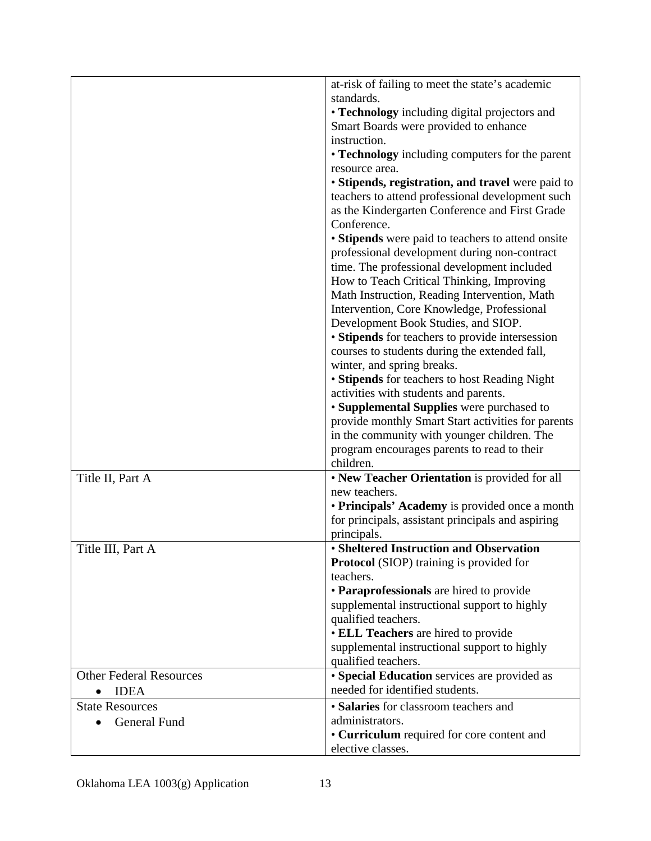|                                | at-risk of failing to meet the state's academic                                          |  |  |
|--------------------------------|------------------------------------------------------------------------------------------|--|--|
|                                | standards.                                                                               |  |  |
|                                | • Technology including digital projectors and                                            |  |  |
|                                | Smart Boards were provided to enhance                                                    |  |  |
|                                | instruction.                                                                             |  |  |
|                                | • Technology including computers for the parent                                          |  |  |
|                                | resource area.                                                                           |  |  |
|                                | • Stipends, registration, and travel were paid to                                        |  |  |
|                                | teachers to attend professional development such                                         |  |  |
|                                | as the Kindergarten Conference and First Grade                                           |  |  |
|                                | Conference.                                                                              |  |  |
|                                | • Stipends were paid to teachers to attend onsite                                        |  |  |
|                                | professional development during non-contract                                             |  |  |
|                                | time. The professional development included                                              |  |  |
|                                | How to Teach Critical Thinking, Improving                                                |  |  |
|                                | Math Instruction, Reading Intervention, Math                                             |  |  |
|                                | Intervention, Core Knowledge, Professional                                               |  |  |
|                                | Development Book Studies, and SIOP.                                                      |  |  |
|                                | • Stipends for teachers to provide intersession                                          |  |  |
|                                | courses to students during the extended fall,                                            |  |  |
|                                | winter, and spring breaks.                                                               |  |  |
|                                | • Stipends for teachers to host Reading Night                                            |  |  |
|                                | activities with students and parents.                                                    |  |  |
|                                | • Supplemental Supplies were purchased to                                                |  |  |
|                                | provide monthly Smart Start activities for parents                                       |  |  |
|                                | in the community with younger children. The                                              |  |  |
|                                | program encourages parents to read to their                                              |  |  |
|                                | children.                                                                                |  |  |
| Title II, Part A               | • New Teacher Orientation is provided for all                                            |  |  |
|                                | new teachers.                                                                            |  |  |
|                                | • Principals' Academy is provided once a month                                           |  |  |
|                                | for principals, assistant principals and aspiring                                        |  |  |
|                                | principals.                                                                              |  |  |
| Title III, Part A              | • Sheltered Instruction and Observation                                                  |  |  |
|                                | <b>Protocol</b> (SIOP) training is provided for                                          |  |  |
|                                | teachers.                                                                                |  |  |
|                                | • Paraprofessionals are hired to provide<br>supplemental instructional support to highly |  |  |
|                                | qualified teachers.                                                                      |  |  |
|                                | • ELL Teachers are hired to provide                                                      |  |  |
|                                | supplemental instructional support to highly                                             |  |  |
|                                | qualified teachers.                                                                      |  |  |
| <b>Other Federal Resources</b> | • Special Education services are provided as                                             |  |  |
| <b>IDEA</b>                    | needed for identified students.                                                          |  |  |
| <b>State Resources</b>         | · Salaries for classroom teachers and                                                    |  |  |
| General Fund                   | administrators.                                                                          |  |  |
|                                | • Curriculum required for core content and                                               |  |  |
|                                | elective classes.                                                                        |  |  |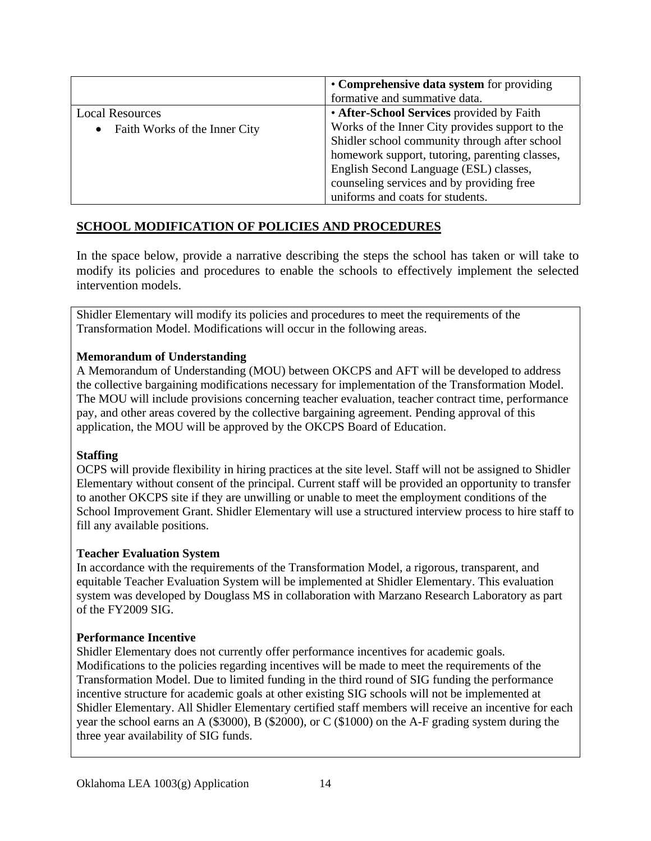|                                            | • Comprehensive data system for providing       |  |
|--------------------------------------------|-------------------------------------------------|--|
|                                            | formative and summative data.                   |  |
| <b>Local Resources</b>                     | • After-School Services provided by Faith       |  |
| Faith Works of the Inner City<br>$\bullet$ | Works of the Inner City provides support to the |  |
|                                            | Shidler school community through after school   |  |
|                                            | homework support, tutoring, parenting classes,  |  |
|                                            | English Second Language (ESL) classes,          |  |
|                                            | counseling services and by providing free       |  |
|                                            | uniforms and coats for students.                |  |

## **SCHOOL MODIFICATION OF POLICIES AND PROCEDURES**

In the space below, provide a narrative describing the steps the school has taken or will take to modify its policies and procedures to enable the schools to effectively implement the selected intervention models.

Shidler Elementary will modify its policies and procedures to meet the requirements of the Transformation Model. Modifications will occur in the following areas.

### **Memorandum of Understanding**

A Memorandum of Understanding (MOU) between OKCPS and AFT will be developed to address the collective bargaining modifications necessary for implementation of the Transformation Model. The MOU will include provisions concerning teacher evaluation, teacher contract time, performance pay, and other areas covered by the collective bargaining agreement. Pending approval of this application, the MOU will be approved by the OKCPS Board of Education.

### **Staffing**

OCPS will provide flexibility in hiring practices at the site level. Staff will not be assigned to Shidler Elementary without consent of the principal. Current staff will be provided an opportunity to transfer to another OKCPS site if they are unwilling or unable to meet the employment conditions of the School Improvement Grant. Shidler Elementary will use a structured interview process to hire staff to fill any available positions.

### **Teacher Evaluation System**

In accordance with the requirements of the Transformation Model, a rigorous, transparent, and equitable Teacher Evaluation System will be implemented at Shidler Elementary. This evaluation system was developed by Douglass MS in collaboration with Marzano Research Laboratory as part of the FY2009 SIG.

### **Performance Incentive**

Shidler Elementary does not currently offer performance incentives for academic goals. Modifications to the policies regarding incentives will be made to meet the requirements of the Transformation Model. Due to limited funding in the third round of SIG funding the performance incentive structure for academic goals at other existing SIG schools will not be implemented at Shidler Elementary. All Shidler Elementary certified staff members will receive an incentive for each year the school earns an A (\$3000), B (\$2000), or C (\$1000) on the A-F grading system during the three year availability of SIG funds.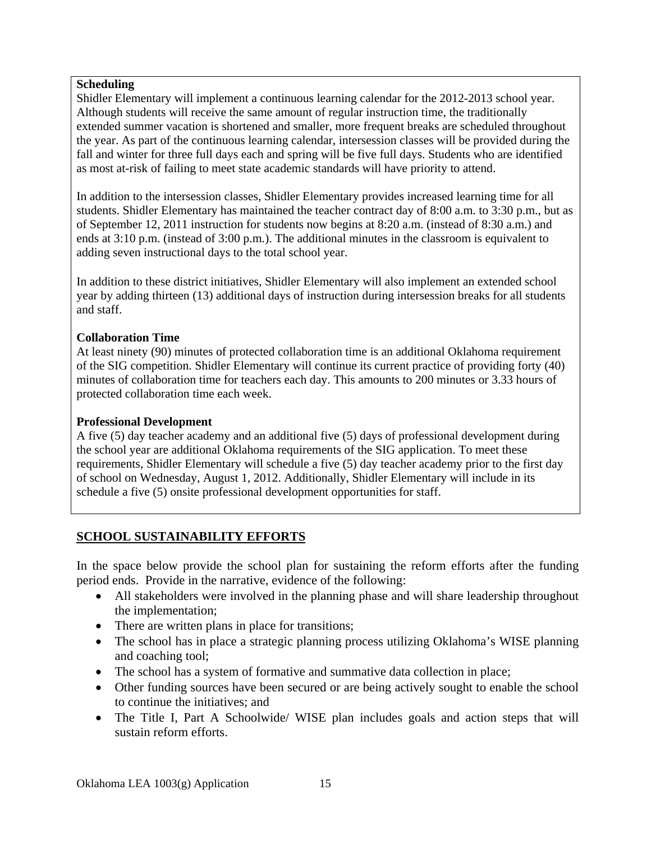### **Scheduling**

Shidler Elementary will implement a continuous learning calendar for the 2012-2013 school year. Although students will receive the same amount of regular instruction time, the traditionally extended summer vacation is shortened and smaller, more frequent breaks are scheduled throughout the year. As part of the continuous learning calendar, intersession classes will be provided during the fall and winter for three full days each and spring will be five full days. Students who are identified as most at-risk of failing to meet state academic standards will have priority to attend.

In addition to the intersession classes, Shidler Elementary provides increased learning time for all students. Shidler Elementary has maintained the teacher contract day of 8:00 a.m. to 3:30 p.m., but as of September 12, 2011 instruction for students now begins at 8:20 a.m. (instead of 8:30 a.m.) and ends at 3:10 p.m. (instead of 3:00 p.m.). The additional minutes in the classroom is equivalent to adding seven instructional days to the total school year.

In addition to these district initiatives, Shidler Elementary will also implement an extended school year by adding thirteen (13) additional days of instruction during intersession breaks for all students and staff.

### **Collaboration Time**

At least ninety (90) minutes of protected collaboration time is an additional Oklahoma requirement of the SIG competition. Shidler Elementary will continue its current practice of providing forty (40) minutes of collaboration time for teachers each day. This amounts to 200 minutes or 3.33 hours of protected collaboration time each week.

### **Professional Development**

A five (5) day teacher academy and an additional five (5) days of professional development during the school year are additional Oklahoma requirements of the SIG application. To meet these requirements, Shidler Elementary will schedule a five (5) day teacher academy prior to the first day of school on Wednesday, August 1, 2012. Additionally, Shidler Elementary will include in its schedule a five (5) onsite professional development opportunities for staff.

## **SCHOOL SUSTAINABILITY EFFORTS**

In the space below provide the school plan for sustaining the reform efforts after the funding period ends. Provide in the narrative, evidence of the following:

- All stakeholders were involved in the planning phase and will share leadership throughout the implementation;
- There are written plans in place for transitions;
- The school has in place a strategic planning process utilizing Oklahoma's WISE planning and coaching tool;
- The school has a system of formative and summative data collection in place;
- Other funding sources have been secured or are being actively sought to enable the school to continue the initiatives; and
- The Title I, Part A Schoolwide/ WISE plan includes goals and action steps that will sustain reform efforts.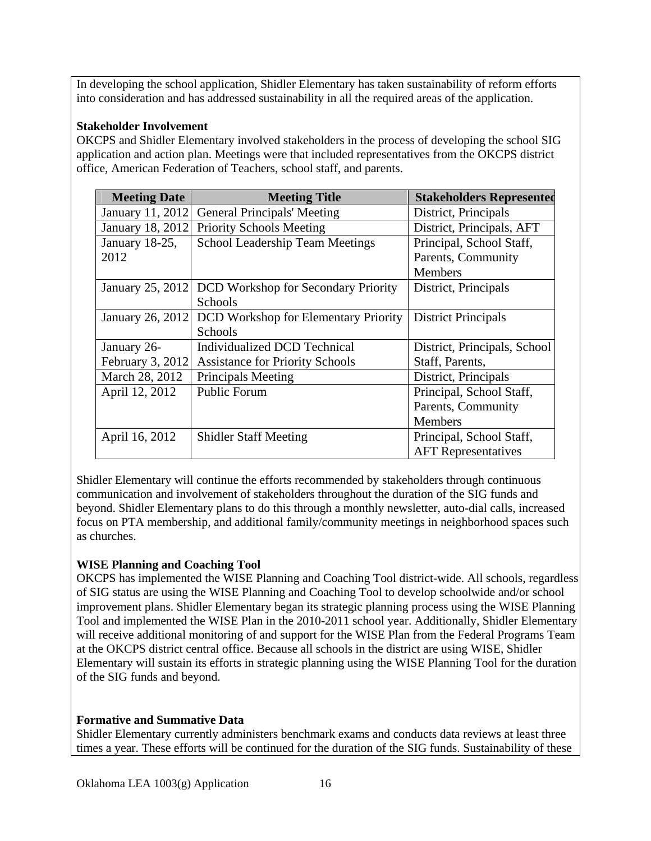In developing the school application, Shidler Elementary has taken sustainability of reform efforts into consideration and has addressed sustainability in all the required areas of the application.

### **Stakeholder Involvement**

OKCPS and Shidler Elementary involved stakeholders in the process of developing the school SIG application and action plan. Meetings were that included representatives from the OKCPS district office, American Federation of Teachers, school staff, and parents.

| <b>Meeting Date</b> | <b>Meeting Title</b>                        | <b>Stakeholders Represented</b> |
|---------------------|---------------------------------------------|---------------------------------|
| January 11, 2012    | <b>General Principals' Meeting</b>          | District, Principals            |
| January 18, 2012    | <b>Priority Schools Meeting</b>             | District, Principals, AFT       |
| January 18-25,      | <b>School Leadership Team Meetings</b>      | Principal, School Staff,        |
| 2012                |                                             | Parents, Community              |
|                     |                                             | <b>Members</b>                  |
| January 25, 2012    | DCD Workshop for Secondary Priority         | District, Principals            |
|                     | Schools                                     |                                 |
| January 26, 2012    | <b>DCD</b> Workshop for Elementary Priority | <b>District Principals</b>      |
|                     | Schools                                     |                                 |
| January 26-         | Individualized DCD Technical                | District, Principals, School    |
| February 3, 2012    | <b>Assistance for Priority Schools</b>      | Staff, Parents,                 |
| March 28, 2012      | Principals Meeting                          | District, Principals            |
| April 12, 2012      | <b>Public Forum</b>                         | Principal, School Staff,        |
|                     |                                             | Parents, Community              |
|                     |                                             | Members                         |
| April 16, 2012      | <b>Shidler Staff Meeting</b>                | Principal, School Staff,        |
|                     |                                             | <b>AFT</b> Representatives      |

Shidler Elementary will continue the efforts recommended by stakeholders through continuous communication and involvement of stakeholders throughout the duration of the SIG funds and beyond. Shidler Elementary plans to do this through a monthly newsletter, auto-dial calls, increased focus on PTA membership, and additional family/community meetings in neighborhood spaces such as churches.

### **WISE Planning and Coaching Tool**

OKCPS has implemented the WISE Planning and Coaching Tool district-wide. All schools, regardless of SIG status are using the WISE Planning and Coaching Tool to develop schoolwide and/or school improvement plans. Shidler Elementary began its strategic planning process using the WISE Planning Tool and implemented the WISE Plan in the 2010-2011 school year. Additionally, Shidler Elementary will receive additional monitoring of and support for the WISE Plan from the Federal Programs Team at the OKCPS district central office. Because all schools in the district are using WISE, Shidler Elementary will sustain its efforts in strategic planning using the WISE Planning Tool for the duration of the SIG funds and beyond.

### **Formative and Summative Data**

Shidler Elementary currently administers benchmark exams and conducts data reviews at least three times a year. These efforts will be continued for the duration of the SIG funds. Sustainability of these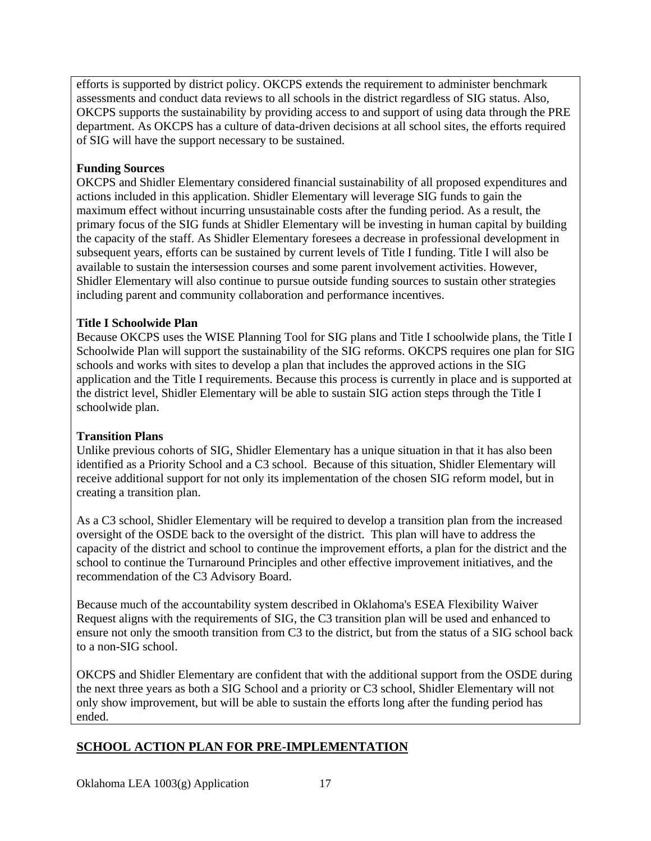efforts is supported by district policy. OKCPS extends the requirement to administer benchmark assessments and conduct data reviews to all schools in the district regardless of SIG status. Also, OKCPS supports the sustainability by providing access to and support of using data through the PRE department. As OKCPS has a culture of data-driven decisions at all school sites, the efforts required of SIG will have the support necessary to be sustained.

### **Funding Sources**

OKCPS and Shidler Elementary considered financial sustainability of all proposed expenditures and actions included in this application. Shidler Elementary will leverage SIG funds to gain the maximum effect without incurring unsustainable costs after the funding period. As a result, the primary focus of the SIG funds at Shidler Elementary will be investing in human capital by building the capacity of the staff. As Shidler Elementary foresees a decrease in professional development in subsequent years, efforts can be sustained by current levels of Title I funding. Title I will also be available to sustain the intersession courses and some parent involvement activities. However, Shidler Elementary will also continue to pursue outside funding sources to sustain other strategies including parent and community collaboration and performance incentives.

### **Title I Schoolwide Plan**

Because OKCPS uses the WISE Planning Tool for SIG plans and Title I schoolwide plans, the Title I Schoolwide Plan will support the sustainability of the SIG reforms. OKCPS requires one plan for SIG schools and works with sites to develop a plan that includes the approved actions in the SIG application and the Title I requirements. Because this process is currently in place and is supported at the district level, Shidler Elementary will be able to sustain SIG action steps through the Title I schoolwide plan.

### **Transition Plans**

Unlike previous cohorts of SIG, Shidler Elementary has a unique situation in that it has also been identified as a Priority School and a C3 school. Because of this situation, Shidler Elementary will receive additional support for not only its implementation of the chosen SIG reform model, but in creating a transition plan.

As a C3 school, Shidler Elementary will be required to develop a transition plan from the increased oversight of the OSDE back to the oversight of the district. This plan will have to address the capacity of the district and school to continue the improvement efforts, a plan for the district and the school to continue the Turnaround Principles and other effective improvement initiatives, and the recommendation of the C3 Advisory Board.

Because much of the accountability system described in Oklahoma's ESEA Flexibility Waiver Request aligns with the requirements of SIG, the C3 transition plan will be used and enhanced to ensure not only the smooth transition from C3 to the district, but from the status of a SIG school back to a non-SIG school.

OKCPS and Shidler Elementary are confident that with the additional support from the OSDE during the next three years as both a SIG School and a priority or C3 school, Shidler Elementary will not only show improvement, but will be able to sustain the efforts long after the funding period has ended.

## **SCHOOL ACTION PLAN FOR PRE-IMPLEMENTATION**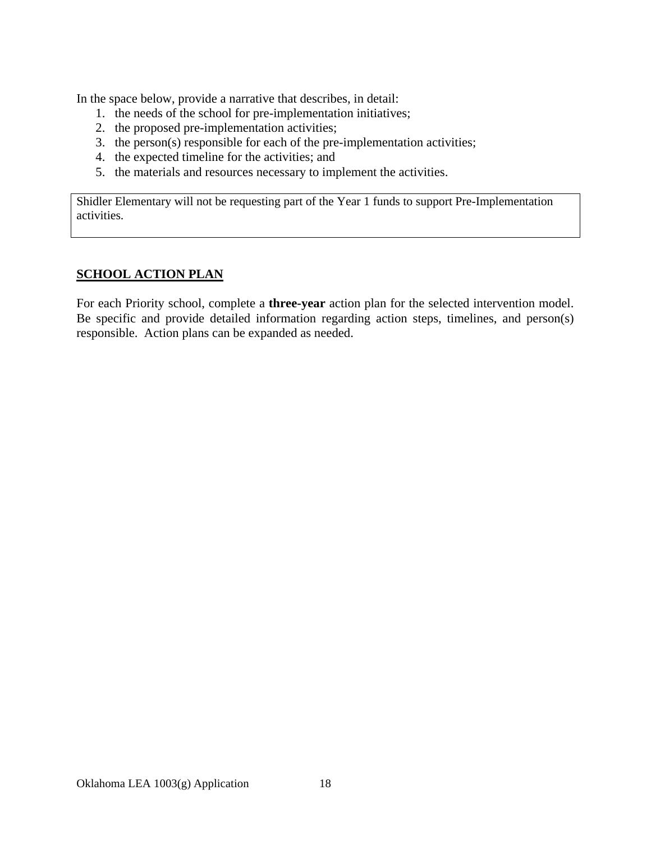In the space below, provide a narrative that describes, in detail:

- 1. the needs of the school for pre-implementation initiatives;
- 2. the proposed pre-implementation activities;
- 3. the person(s) responsible for each of the pre-implementation activities;
- 4. the expected timeline for the activities; and
- 5. the materials and resources necessary to implement the activities.

Shidler Elementary will not be requesting part of the Year 1 funds to support Pre-Implementation activities.

### **SCHOOL ACTION PLAN**

For each Priority school, complete a **three-year** action plan for the selected intervention model. Be specific and provide detailed information regarding action steps, timelines, and person(s) responsible. Action plans can be expanded as needed.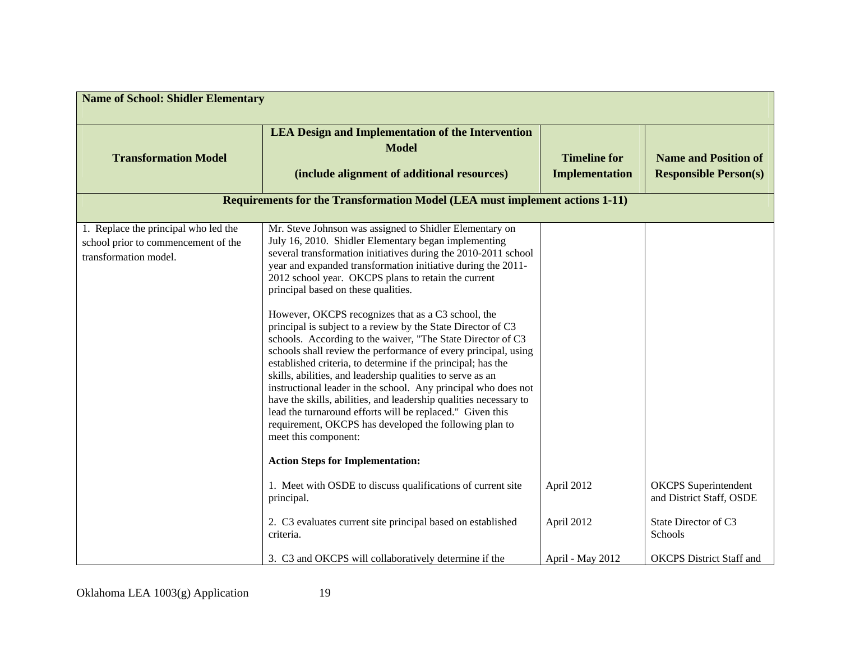| <b>Name of School: Shidler Elementary</b>                                                            |                                                                                                                                                                                                                                                                                                                                                                                                                                                                                                                                                                                                                                                                                                                                                                                                                                                                                                                                                                                                                                                                                                                                                                                                                                |                                              |                                                                                            |  |
|------------------------------------------------------------------------------------------------------|--------------------------------------------------------------------------------------------------------------------------------------------------------------------------------------------------------------------------------------------------------------------------------------------------------------------------------------------------------------------------------------------------------------------------------------------------------------------------------------------------------------------------------------------------------------------------------------------------------------------------------------------------------------------------------------------------------------------------------------------------------------------------------------------------------------------------------------------------------------------------------------------------------------------------------------------------------------------------------------------------------------------------------------------------------------------------------------------------------------------------------------------------------------------------------------------------------------------------------|----------------------------------------------|--------------------------------------------------------------------------------------------|--|
| <b>Transformation Model</b>                                                                          | <b>LEA Design and Implementation of the Intervention</b><br><b>Model</b><br>(include alignment of additional resources)                                                                                                                                                                                                                                                                                                                                                                                                                                                                                                                                                                                                                                                                                                                                                                                                                                                                                                                                                                                                                                                                                                        | <b>Timeline for</b><br><b>Implementation</b> | <b>Name and Position of</b><br><b>Responsible Person(s)</b>                                |  |
|                                                                                                      | <b>Requirements for the Transformation Model (LEA must implement actions 1-11)</b>                                                                                                                                                                                                                                                                                                                                                                                                                                                                                                                                                                                                                                                                                                                                                                                                                                                                                                                                                                                                                                                                                                                                             |                                              |                                                                                            |  |
| 1. Replace the principal who led the<br>school prior to commencement of the<br>transformation model. | Mr. Steve Johnson was assigned to Shidler Elementary on<br>July 16, 2010. Shidler Elementary began implementing<br>several transformation initiatives during the 2010-2011 school<br>year and expanded transformation initiative during the 2011-<br>2012 school year. OKCPS plans to retain the current<br>principal based on these qualities.<br>However, OKCPS recognizes that as a C3 school, the<br>principal is subject to a review by the State Director of C3<br>schools. According to the waiver, "The State Director of C3<br>schools shall review the performance of every principal, using<br>established criteria, to determine if the principal; has the<br>skills, abilities, and leadership qualities to serve as an<br>instructional leader in the school. Any principal who does not<br>have the skills, abilities, and leadership qualities necessary to<br>lead the turnaround efforts will be replaced." Given this<br>requirement, OKCPS has developed the following plan to<br>meet this component:<br><b>Action Steps for Implementation:</b><br>1. Meet with OSDE to discuss qualifications of current site<br>principal.<br>2. C3 evaluates current site principal based on established<br>criteria. | April 2012<br>April 2012                     | <b>OKCPS</b> Superintendent<br>and District Staff, OSDE<br>State Director of C3<br>Schools |  |
|                                                                                                      | 3. C3 and OKCPS will collaboratively determine if the                                                                                                                                                                                                                                                                                                                                                                                                                                                                                                                                                                                                                                                                                                                                                                                                                                                                                                                                                                                                                                                                                                                                                                          | April - May 2012                             | <b>OKCPS</b> District Staff and                                                            |  |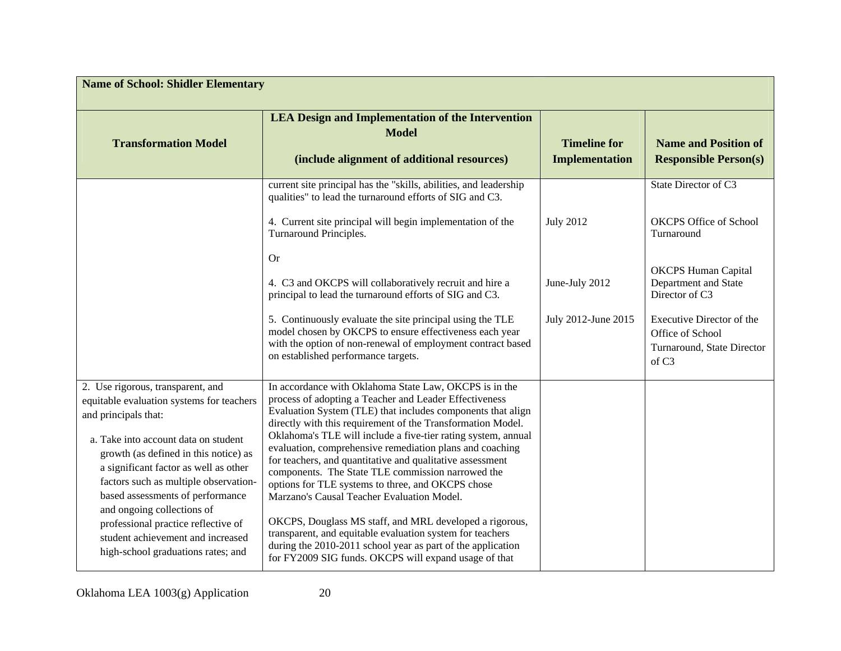| <b>Name of School: Shidler Elementary</b>                                                                                                                                                                                                                                                                                                                                                                                                                     |                                                                                                                                                                                                                                                                                                                                                                                                                                                                                                                                                                                                                                                                                                                                                                                                                                                  |                                              |                                                                                                  |  |
|---------------------------------------------------------------------------------------------------------------------------------------------------------------------------------------------------------------------------------------------------------------------------------------------------------------------------------------------------------------------------------------------------------------------------------------------------------------|--------------------------------------------------------------------------------------------------------------------------------------------------------------------------------------------------------------------------------------------------------------------------------------------------------------------------------------------------------------------------------------------------------------------------------------------------------------------------------------------------------------------------------------------------------------------------------------------------------------------------------------------------------------------------------------------------------------------------------------------------------------------------------------------------------------------------------------------------|----------------------------------------------|--------------------------------------------------------------------------------------------------|--|
| <b>Transformation Model</b>                                                                                                                                                                                                                                                                                                                                                                                                                                   | <b>LEA Design and Implementation of the Intervention</b><br><b>Model</b><br>(include alignment of additional resources)                                                                                                                                                                                                                                                                                                                                                                                                                                                                                                                                                                                                                                                                                                                          | <b>Timeline for</b><br><b>Implementation</b> | <b>Name and Position of</b><br><b>Responsible Person(s)</b>                                      |  |
|                                                                                                                                                                                                                                                                                                                                                                                                                                                               | current site principal has the "skills, abilities, and leadership<br>qualities" to lead the turnaround efforts of SIG and C3.<br>4. Current site principal will begin implementation of the<br>Turnaround Principles.                                                                                                                                                                                                                                                                                                                                                                                                                                                                                                                                                                                                                            | <b>July 2012</b>                             | State Director of C3<br><b>OKCPS Office of School</b><br>Turnaround                              |  |
|                                                                                                                                                                                                                                                                                                                                                                                                                                                               | <b>Or</b><br>4. C3 and OKCPS will collaboratively recruit and hire a<br>principal to lead the turnaround efforts of SIG and C3.                                                                                                                                                                                                                                                                                                                                                                                                                                                                                                                                                                                                                                                                                                                  | June-July 2012                               | <b>OKCPS Human Capital</b><br>Department and State<br>Director of C3                             |  |
|                                                                                                                                                                                                                                                                                                                                                                                                                                                               | 5. Continuously evaluate the site principal using the TLE<br>model chosen by OKCPS to ensure effectiveness each year<br>with the option of non-renewal of employment contract based<br>on established performance targets.                                                                                                                                                                                                                                                                                                                                                                                                                                                                                                                                                                                                                       | July 2012-June 2015                          | Executive Director of the<br>Office of School<br>Turnaround, State Director<br>of C <sub>3</sub> |  |
| 2. Use rigorous, transparent, and<br>equitable evaluation systems for teachers<br>and principals that:<br>a. Take into account data on student<br>growth (as defined in this notice) as<br>a significant factor as well as other<br>factors such as multiple observation-<br>based assessments of performance<br>and ongoing collections of<br>professional practice reflective of<br>student achievement and increased<br>high-school graduations rates; and | In accordance with Oklahoma State Law, OKCPS is in the<br>process of adopting a Teacher and Leader Effectiveness<br>Evaluation System (TLE) that includes components that align<br>directly with this requirement of the Transformation Model.<br>Oklahoma's TLE will include a five-tier rating system, annual<br>evaluation, comprehensive remediation plans and coaching<br>for teachers, and quantitative and qualitative assessment<br>components. The State TLE commission narrowed the<br>options for TLE systems to three, and OKCPS chose<br>Marzano's Causal Teacher Evaluation Model.<br>OKCPS, Douglass MS staff, and MRL developed a rigorous,<br>transparent, and equitable evaluation system for teachers<br>during the 2010-2011 school year as part of the application<br>for FY2009 SIG funds. OKCPS will expand usage of that |                                              |                                                                                                  |  |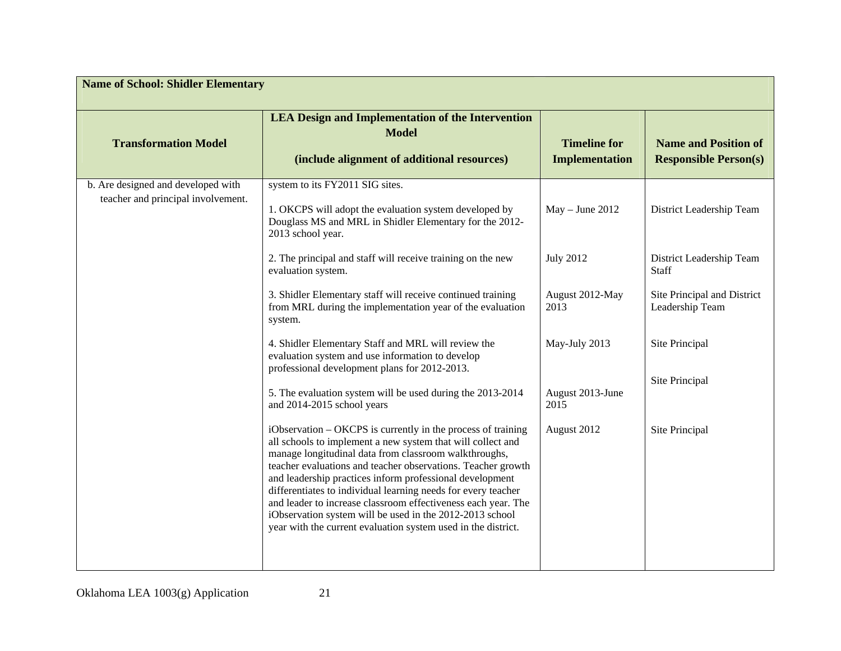| <b>Name of School: Shidler Elementary</b> |                                                                                                                                                                                                                                                                                                                                                                                                                                                                                                                                                                                 |                                       |                                                             |  |
|-------------------------------------------|---------------------------------------------------------------------------------------------------------------------------------------------------------------------------------------------------------------------------------------------------------------------------------------------------------------------------------------------------------------------------------------------------------------------------------------------------------------------------------------------------------------------------------------------------------------------------------|---------------------------------------|-------------------------------------------------------------|--|
| <b>Transformation Model</b>               | <b>LEA Design and Implementation of the Intervention</b><br><b>Model</b><br>(include alignment of additional resources)                                                                                                                                                                                                                                                                                                                                                                                                                                                         | <b>Timeline for</b><br>Implementation | <b>Name and Position of</b><br><b>Responsible Person(s)</b> |  |
| b. Are designed and developed with        | system to its FY2011 SIG sites.                                                                                                                                                                                                                                                                                                                                                                                                                                                                                                                                                 |                                       |                                                             |  |
| teacher and principal involvement.        | 1. OKCPS will adopt the evaluation system developed by<br>Douglass MS and MRL in Shidler Elementary for the 2012-<br>2013 school year.                                                                                                                                                                                                                                                                                                                                                                                                                                          | $May - June 2012$                     | District Leadership Team                                    |  |
|                                           | 2. The principal and staff will receive training on the new<br>evaluation system.                                                                                                                                                                                                                                                                                                                                                                                                                                                                                               | <b>July 2012</b>                      | District Leadership Team<br>Staff                           |  |
|                                           | 3. Shidler Elementary staff will receive continued training<br>from MRL during the implementation year of the evaluation<br>system.                                                                                                                                                                                                                                                                                                                                                                                                                                             | August 2012-May<br>2013               | Site Principal and District<br>Leadership Team              |  |
|                                           | 4. Shidler Elementary Staff and MRL will review the<br>evaluation system and use information to develop<br>professional development plans for 2012-2013.                                                                                                                                                                                                                                                                                                                                                                                                                        | May-July 2013                         | Site Principal                                              |  |
|                                           | 5. The evaluation system will be used during the 2013-2014<br>and 2014-2015 school years                                                                                                                                                                                                                                                                                                                                                                                                                                                                                        | August 2013-June<br>2015              | Site Principal                                              |  |
|                                           | iObservation - OKCPS is currently in the process of training<br>all schools to implement a new system that will collect and<br>manage longitudinal data from classroom walkthroughs,<br>teacher evaluations and teacher observations. Teacher growth<br>and leadership practices inform professional development<br>differentiates to individual learning needs for every teacher<br>and leader to increase classroom effectiveness each year. The<br>iObservation system will be used in the 2012-2013 school<br>year with the current evaluation system used in the district. | August 2012                           | Site Principal                                              |  |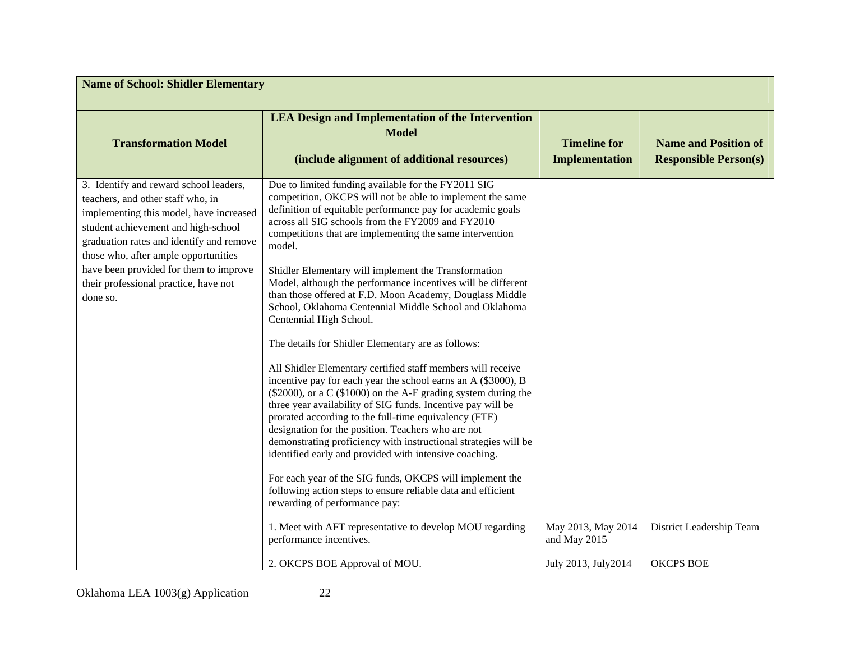| <b>Name of School: Shidler Elementary</b>                                                                                                                                                                                                         |                                                                                                                                                                                                                                                                                                                                                                                                                                                                                                                                                                      |                                              |                                                             |  |
|---------------------------------------------------------------------------------------------------------------------------------------------------------------------------------------------------------------------------------------------------|----------------------------------------------------------------------------------------------------------------------------------------------------------------------------------------------------------------------------------------------------------------------------------------------------------------------------------------------------------------------------------------------------------------------------------------------------------------------------------------------------------------------------------------------------------------------|----------------------------------------------|-------------------------------------------------------------|--|
| <b>Transformation Model</b>                                                                                                                                                                                                                       | <b>LEA Design and Implementation of the Intervention</b><br><b>Model</b><br>(include alignment of additional resources)                                                                                                                                                                                                                                                                                                                                                                                                                                              | <b>Timeline for</b><br><b>Implementation</b> | <b>Name and Position of</b><br><b>Responsible Person(s)</b> |  |
| 3. Identify and reward school leaders,<br>teachers, and other staff who, in<br>implementing this model, have increased<br>student achievement and high-school<br>graduation rates and identify and remove<br>those who, after ample opportunities | Due to limited funding available for the FY2011 SIG<br>competition, OKCPS will not be able to implement the same<br>definition of equitable performance pay for academic goals<br>across all SIG schools from the FY2009 and FY2010<br>competitions that are implementing the same intervention<br>model.                                                                                                                                                                                                                                                            |                                              |                                                             |  |
| have been provided for them to improve<br>their professional practice, have not<br>done so.                                                                                                                                                       | Shidler Elementary will implement the Transformation<br>Model, although the performance incentives will be different<br>than those offered at F.D. Moon Academy, Douglass Middle<br>School, Oklahoma Centennial Middle School and Oklahoma<br>Centennial High School.                                                                                                                                                                                                                                                                                                |                                              |                                                             |  |
|                                                                                                                                                                                                                                                   | The details for Shidler Elementary are as follows:<br>All Shidler Elementary certified staff members will receive<br>incentive pay for each year the school earns an A (\$3000), B<br>$(\$2000)$ , or a C $(\$1000)$ on the A-F grading system during the<br>three year availability of SIG funds. Incentive pay will be<br>prorated according to the full-time equivalency (FTE)<br>designation for the position. Teachers who are not<br>demonstrating proficiency with instructional strategies will be<br>identified early and provided with intensive coaching. |                                              |                                                             |  |
|                                                                                                                                                                                                                                                   | For each year of the SIG funds, OKCPS will implement the<br>following action steps to ensure reliable data and efficient<br>rewarding of performance pay:                                                                                                                                                                                                                                                                                                                                                                                                            |                                              |                                                             |  |
|                                                                                                                                                                                                                                                   | 1. Meet with AFT representative to develop MOU regarding<br>performance incentives.                                                                                                                                                                                                                                                                                                                                                                                                                                                                                  | May 2013, May 2014<br>and May 2015           | District Leadership Team                                    |  |
|                                                                                                                                                                                                                                                   | 2. OKCPS BOE Approval of MOU.                                                                                                                                                                                                                                                                                                                                                                                                                                                                                                                                        | July 2013, July 2014                         | <b>OKCPS BOE</b>                                            |  |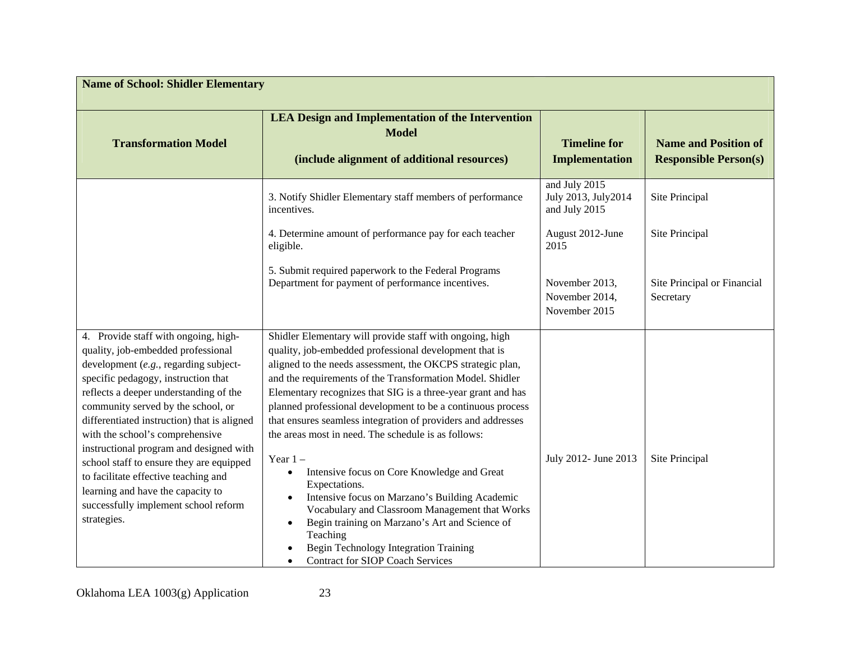| <b>Name of School: Shidler Elementary</b>                                                                                                                                                                                                                                                                                                                                                                                                                                                                                                               |                                                                                                                                                                                                                                                                                                                                                                                                                                                                                                                                                                                                                                                                                                                                                                                                                                                                   |                                                        |                                                             |
|---------------------------------------------------------------------------------------------------------------------------------------------------------------------------------------------------------------------------------------------------------------------------------------------------------------------------------------------------------------------------------------------------------------------------------------------------------------------------------------------------------------------------------------------------------|-------------------------------------------------------------------------------------------------------------------------------------------------------------------------------------------------------------------------------------------------------------------------------------------------------------------------------------------------------------------------------------------------------------------------------------------------------------------------------------------------------------------------------------------------------------------------------------------------------------------------------------------------------------------------------------------------------------------------------------------------------------------------------------------------------------------------------------------------------------------|--------------------------------------------------------|-------------------------------------------------------------|
| <b>Transformation Model</b>                                                                                                                                                                                                                                                                                                                                                                                                                                                                                                                             | <b>LEA Design and Implementation of the Intervention</b><br><b>Model</b><br>(include alignment of additional resources)                                                                                                                                                                                                                                                                                                                                                                                                                                                                                                                                                                                                                                                                                                                                           | <b>Timeline for</b><br><b>Implementation</b>           | <b>Name and Position of</b><br><b>Responsible Person(s)</b> |
|                                                                                                                                                                                                                                                                                                                                                                                                                                                                                                                                                         | 3. Notify Shidler Elementary staff members of performance<br>incentives.                                                                                                                                                                                                                                                                                                                                                                                                                                                                                                                                                                                                                                                                                                                                                                                          | and July 2015<br>July 2013, July 2014<br>and July 2015 | Site Principal                                              |
|                                                                                                                                                                                                                                                                                                                                                                                                                                                                                                                                                         | 4. Determine amount of performance pay for each teacher<br>eligible.                                                                                                                                                                                                                                                                                                                                                                                                                                                                                                                                                                                                                                                                                                                                                                                              | August 2012-June<br>2015                               | Site Principal                                              |
|                                                                                                                                                                                                                                                                                                                                                                                                                                                                                                                                                         | 5. Submit required paperwork to the Federal Programs<br>Department for payment of performance incentives.                                                                                                                                                                                                                                                                                                                                                                                                                                                                                                                                                                                                                                                                                                                                                         | November 2013,<br>November 2014,<br>November 2015      | Site Principal or Financial<br>Secretary                    |
| 4. Provide staff with ongoing, high-<br>quality, job-embedded professional<br>development (e.g., regarding subject-<br>specific pedagogy, instruction that<br>reflects a deeper understanding of the<br>community served by the school, or<br>differentiated instruction) that is aligned<br>with the school's comprehensive<br>instructional program and designed with<br>school staff to ensure they are equipped<br>to facilitate effective teaching and<br>learning and have the capacity to<br>successfully implement school reform<br>strategies. | Shidler Elementary will provide staff with ongoing, high<br>quality, job-embedded professional development that is<br>aligned to the needs assessment, the OKCPS strategic plan,<br>and the requirements of the Transformation Model. Shidler<br>Elementary recognizes that SIG is a three-year grant and has<br>planned professional development to be a continuous process<br>that ensures seamless integration of providers and addresses<br>the areas most in need. The schedule is as follows:<br>Year $1 -$<br>Intensive focus on Core Knowledge and Great<br>Expectations.<br>Intensive focus on Marzano's Building Academic<br>Vocabulary and Classroom Management that Works<br>Begin training on Marzano's Art and Science of<br>$\bullet$<br>Teaching<br>Begin Technology Integration Training<br><b>Contract for SIOP Coach Services</b><br>$\bullet$ | July 2012- June 2013                                   | Site Principal                                              |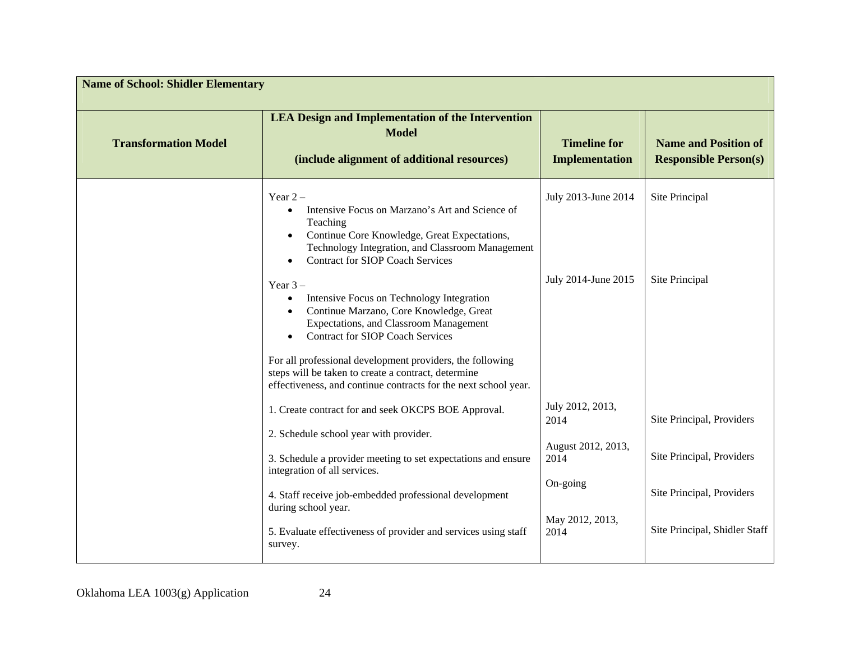| <b>Name of School: Shidler Elementary</b> |                                                                                                                                                                                                                                                            |                                        |                                                             |  |
|-------------------------------------------|------------------------------------------------------------------------------------------------------------------------------------------------------------------------------------------------------------------------------------------------------------|----------------------------------------|-------------------------------------------------------------|--|
| <b>Transformation Model</b>               | <b>LEA Design and Implementation of the Intervention</b><br><b>Model</b><br>(include alignment of additional resources)                                                                                                                                    | <b>Timeline for</b><br>Implementation  | <b>Name and Position of</b><br><b>Responsible Person(s)</b> |  |
|                                           | Year $2-$<br>Intensive Focus on Marzano's Art and Science of<br>$\bullet$<br>Teaching<br>Continue Core Knowledge, Great Expectations,<br>Technology Integration, and Classroom Management<br><b>Contract for SIOP Coach Services</b>                       | July 2013-June 2014                    | Site Principal                                              |  |
|                                           | Year $3-$<br>Intensive Focus on Technology Integration<br>Continue Marzano, Core Knowledge, Great<br><b>Expectations, and Classroom Management</b><br><b>Contract for SIOP Coach Services</b><br>For all professional development providers, the following | July 2014-June 2015                    | Site Principal                                              |  |
|                                           | steps will be taken to create a contract, determine<br>effectiveness, and continue contracts for the next school year.<br>1. Create contract for and seek OKCPS BOE Approval.                                                                              | July 2012, 2013,<br>2014               | Site Principal, Providers                                   |  |
|                                           | 2. Schedule school year with provider.<br>3. Schedule a provider meeting to set expectations and ensure<br>integration of all services.                                                                                                                    | August 2012, 2013,<br>2014<br>On-going | Site Principal, Providers                                   |  |
|                                           | 4. Staff receive job-embedded professional development<br>during school year.<br>5. Evaluate effectiveness of provider and services using staff<br>survey.                                                                                                 | May 2012, 2013,<br>2014                | Site Principal, Providers<br>Site Principal, Shidler Staff  |  |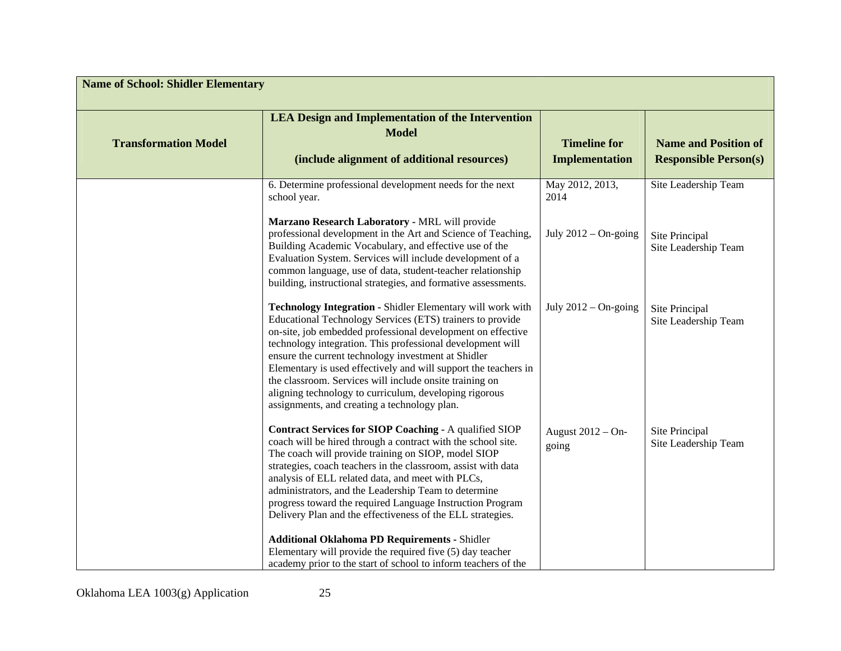| <b>Name of School: Shidler Elementary</b> |                                                                                                                                                                                                                                                                                                                                                                                                                                                                                        |                                                    |                                                                |
|-------------------------------------------|----------------------------------------------------------------------------------------------------------------------------------------------------------------------------------------------------------------------------------------------------------------------------------------------------------------------------------------------------------------------------------------------------------------------------------------------------------------------------------------|----------------------------------------------------|----------------------------------------------------------------|
| <b>Transformation Model</b>               | <b>LEA Design and Implementation of the Intervention</b><br><b>Model</b><br>(include alignment of additional resources)                                                                                                                                                                                                                                                                                                                                                                | <b>Timeline for</b><br><b>Implementation</b>       | <b>Name and Position of</b><br><b>Responsible Person(s)</b>    |
|                                           | 6. Determine professional development needs for the next<br>school year.<br>Marzano Research Laboratory - MRL will provide<br>professional development in the Art and Science of Teaching,<br>Building Academic Vocabulary, and effective use of the                                                                                                                                                                                                                                   | May 2012, 2013,<br>2014<br>July $2012 - On$ -going | Site Leadership Team<br>Site Principal<br>Site Leadership Team |
|                                           | Evaluation System. Services will include development of a<br>common language, use of data, student-teacher relationship<br>building, instructional strategies, and formative assessments.<br>Technology Integration - Shidler Elementary will work with<br>Educational Technology Services (ETS) trainers to provide                                                                                                                                                                   | July $2012 - On$ -going                            | Site Principal                                                 |
|                                           | on-site, job embedded professional development on effective<br>technology integration. This professional development will<br>ensure the current technology investment at Shidler<br>Elementary is used effectively and will support the teachers in<br>the classroom. Services will include onsite training on<br>aligning technology to curriculum, developing rigorous<br>assignments, and creating a technology plan.                                                               |                                                    | Site Leadership Team                                           |
|                                           | Contract Services for SIOP Coaching - A qualified SIOP<br>coach will be hired through a contract with the school site.<br>The coach will provide training on SIOP, model SIOP<br>strategies, coach teachers in the classroom, assist with data<br>analysis of ELL related data, and meet with PLCs,<br>administrators, and the Leadership Team to determine<br>progress toward the required Language Instruction Program<br>Delivery Plan and the effectiveness of the ELL strategies. | August 2012 - On-<br>going                         | Site Principal<br>Site Leadership Team                         |
|                                           | <b>Additional Oklahoma PD Requirements - Shidler</b><br>Elementary will provide the required five (5) day teacher<br>academy prior to the start of school to inform teachers of the                                                                                                                                                                                                                                                                                                    |                                                    |                                                                |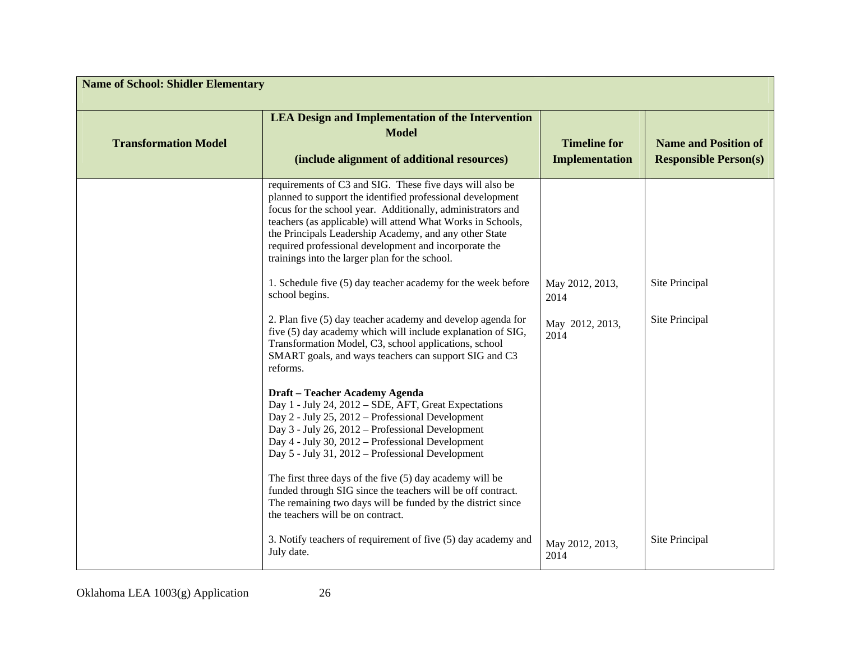| <b>Name of School: Shidler Elementary</b> |                                                                                                                                                                                                                                                                                                                                                                                                                           |                                              |                                                             |
|-------------------------------------------|---------------------------------------------------------------------------------------------------------------------------------------------------------------------------------------------------------------------------------------------------------------------------------------------------------------------------------------------------------------------------------------------------------------------------|----------------------------------------------|-------------------------------------------------------------|
| <b>Transformation Model</b>               | <b>LEA Design and Implementation of the Intervention</b><br><b>Model</b><br>(include alignment of additional resources)                                                                                                                                                                                                                                                                                                   | <b>Timeline for</b><br><b>Implementation</b> | <b>Name and Position of</b><br><b>Responsible Person(s)</b> |
|                                           | requirements of C3 and SIG. These five days will also be<br>planned to support the identified professional development<br>focus for the school year. Additionally, administrators and<br>teachers (as applicable) will attend What Works in Schools,<br>the Principals Leadership Academy, and any other State<br>required professional development and incorporate the<br>trainings into the larger plan for the school. |                                              |                                                             |
|                                           | 1. Schedule five (5) day teacher academy for the week before<br>school begins.                                                                                                                                                                                                                                                                                                                                            | May 2012, 2013,<br>2014                      | Site Principal                                              |
|                                           | 2. Plan five (5) day teacher academy and develop agenda for<br>five (5) day academy which will include explanation of SIG,<br>Transformation Model, C3, school applications, school<br>SMART goals, and ways teachers can support SIG and C3<br>reforms.                                                                                                                                                                  | May 2012, 2013,<br>2014                      | Site Principal                                              |
|                                           | Draft - Teacher Academy Agenda<br>Day 1 - July 24, 2012 – SDE, AFT, Great Expectations<br>Day 2 - July 25, 2012 - Professional Development<br>Day 3 - July 26, 2012 - Professional Development<br>Day 4 - July 30, 2012 – Professional Development<br>Day 5 - July 31, 2012 - Professional Development                                                                                                                    |                                              |                                                             |
|                                           | The first three days of the five $(5)$ day academy will be<br>funded through SIG since the teachers will be off contract.<br>The remaining two days will be funded by the district since<br>the teachers will be on contract.                                                                                                                                                                                             |                                              |                                                             |
|                                           | 3. Notify teachers of requirement of five (5) day academy and<br>July date.                                                                                                                                                                                                                                                                                                                                               | May 2012, 2013,<br>2014                      | Site Principal                                              |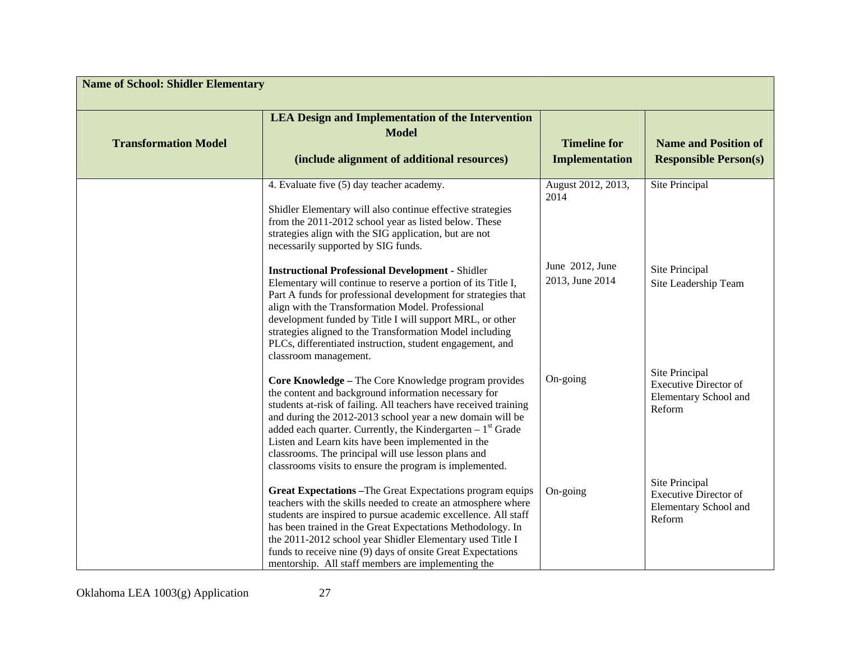| <b>Name of School: Shidler Elementary</b> |                                                                                                                                                                                                                                                                                                                                                                                                                                                                                       |                                       |                                                                                   |
|-------------------------------------------|---------------------------------------------------------------------------------------------------------------------------------------------------------------------------------------------------------------------------------------------------------------------------------------------------------------------------------------------------------------------------------------------------------------------------------------------------------------------------------------|---------------------------------------|-----------------------------------------------------------------------------------|
| <b>Transformation Model</b>               | <b>LEA Design and Implementation of the Intervention</b><br><b>Model</b><br>(include alignment of additional resources)                                                                                                                                                                                                                                                                                                                                                               | <b>Timeline for</b><br>Implementation | <b>Name and Position of</b><br><b>Responsible Person(s)</b>                       |
|                                           | 4. Evaluate five (5) day teacher academy.<br>Shidler Elementary will also continue effective strategies<br>from the 2011-2012 school year as listed below. These<br>strategies align with the SIG application, but are not<br>necessarily supported by SIG funds.                                                                                                                                                                                                                     | August 2012, 2013,<br>2014            | Site Principal                                                                    |
|                                           | <b>Instructional Professional Development - Shidler</b><br>Elementary will continue to reserve a portion of its Title I,<br>Part A funds for professional development for strategies that<br>align with the Transformation Model. Professional<br>development funded by Title I will support MRL, or other<br>strategies aligned to the Transformation Model including<br>PLCs, differentiated instruction, student engagement, and<br>classroom management.                          | June 2012, June<br>2013, June 2014    | Site Principal<br>Site Leadership Team                                            |
|                                           | Core Knowledge - The Core Knowledge program provides<br>the content and background information necessary for<br>students at-risk of failing. All teachers have received training<br>and during the 2012-2013 school year a new domain will be<br>added each quarter. Currently, the Kindergarten $-1st$ Grade<br>Listen and Learn kits have been implemented in the<br>classrooms. The principal will use lesson plans and<br>classrooms visits to ensure the program is implemented. | On-going                              | Site Principal<br><b>Executive Director of</b><br>Elementary School and<br>Reform |
|                                           | Great Expectations - The Great Expectations program equips<br>teachers with the skills needed to create an atmosphere where<br>students are inspired to pursue academic excellence. All staff<br>has been trained in the Great Expectations Methodology. In<br>the 2011-2012 school year Shidler Elementary used Title I<br>funds to receive nine (9) days of onsite Great Expectations<br>mentorship. All staff members are implementing the                                         | On-going                              | Site Principal<br><b>Executive Director of</b><br>Elementary School and<br>Reform |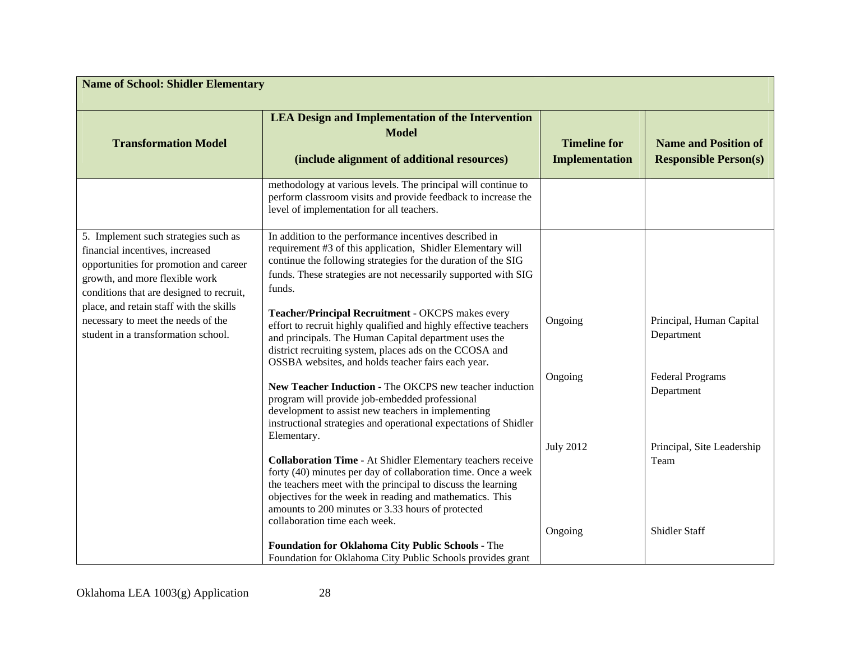| <b>Name of School: Shidler Elementary</b>                                                                                                                                                                                                                                                                               |                                                                                                                                                                                                                                                                                                                                                                                                                                                                                                                                                                       |                                              |                                                             |
|-------------------------------------------------------------------------------------------------------------------------------------------------------------------------------------------------------------------------------------------------------------------------------------------------------------------------|-----------------------------------------------------------------------------------------------------------------------------------------------------------------------------------------------------------------------------------------------------------------------------------------------------------------------------------------------------------------------------------------------------------------------------------------------------------------------------------------------------------------------------------------------------------------------|----------------------------------------------|-------------------------------------------------------------|
| <b>Transformation Model</b>                                                                                                                                                                                                                                                                                             | <b>LEA Design and Implementation of the Intervention</b><br><b>Model</b><br>(include alignment of additional resources)                                                                                                                                                                                                                                                                                                                                                                                                                                               | <b>Timeline for</b><br><b>Implementation</b> | <b>Name and Position of</b><br><b>Responsible Person(s)</b> |
|                                                                                                                                                                                                                                                                                                                         | methodology at various levels. The principal will continue to<br>perform classroom visits and provide feedback to increase the<br>level of implementation for all teachers.                                                                                                                                                                                                                                                                                                                                                                                           |                                              |                                                             |
| 5. Implement such strategies such as<br>financial incentives, increased<br>opportunities for promotion and career<br>growth, and more flexible work<br>conditions that are designed to recruit,<br>place, and retain staff with the skills<br>necessary to meet the needs of the<br>student in a transformation school. | In addition to the performance incentives described in<br>requirement #3 of this application, Shidler Elementary will<br>continue the following strategies for the duration of the SIG<br>funds. These strategies are not necessarily supported with SIG<br>funds.<br>Teacher/Principal Recruitment - OKCPS makes every<br>effort to recruit highly qualified and highly effective teachers<br>and principals. The Human Capital department uses the<br>district recruiting system, places ads on the CCOSA and<br>OSSBA websites, and holds teacher fairs each year. | Ongoing                                      | Principal, Human Capital<br>Department                      |
|                                                                                                                                                                                                                                                                                                                         | New Teacher Induction - The OKCPS new teacher induction<br>program will provide job-embedded professional<br>development to assist new teachers in implementing<br>instructional strategies and operational expectations of Shidler<br>Elementary.                                                                                                                                                                                                                                                                                                                    | Ongoing<br><b>July 2012</b>                  | <b>Federal Programs</b><br>Department                       |
|                                                                                                                                                                                                                                                                                                                         | <b>Collaboration Time - At Shidler Elementary teachers receive</b><br>forty (40) minutes per day of collaboration time. Once a week<br>the teachers meet with the principal to discuss the learning<br>objectives for the week in reading and mathematics. This<br>amounts to 200 minutes or 3.33 hours of protected<br>collaboration time each week.                                                                                                                                                                                                                 | Ongoing                                      | Principal, Site Leadership<br>Team<br><b>Shidler Staff</b>  |
|                                                                                                                                                                                                                                                                                                                         | Foundation for Oklahoma City Public Schools - The<br>Foundation for Oklahoma City Public Schools provides grant                                                                                                                                                                                                                                                                                                                                                                                                                                                       |                                              |                                                             |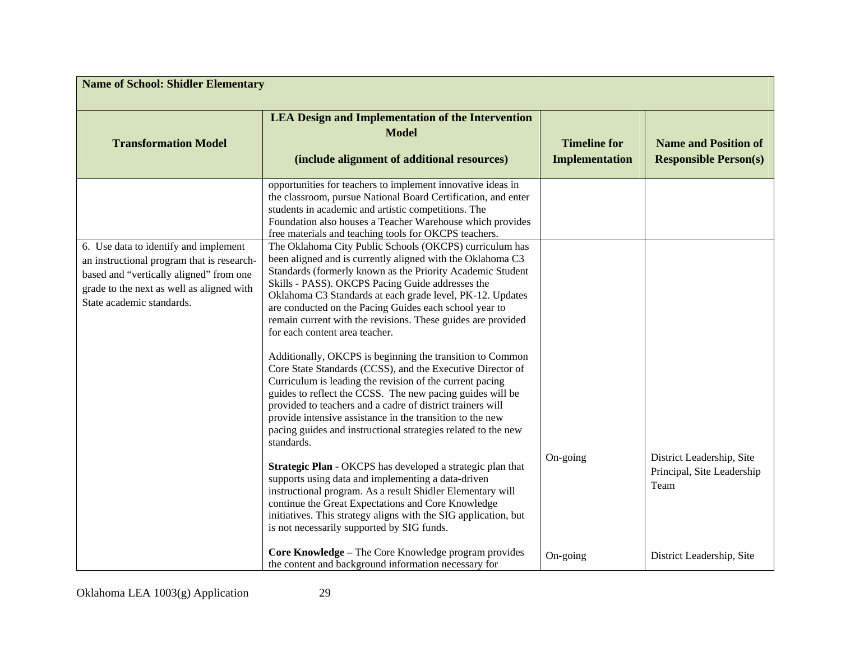| <b>Name of School: Shidler Elementary</b>                                                                                                                                                                |                                                                                                                                                                                                                                                                                                                                                                                                                                                                  |                                              |                                                                 |
|----------------------------------------------------------------------------------------------------------------------------------------------------------------------------------------------------------|------------------------------------------------------------------------------------------------------------------------------------------------------------------------------------------------------------------------------------------------------------------------------------------------------------------------------------------------------------------------------------------------------------------------------------------------------------------|----------------------------------------------|-----------------------------------------------------------------|
| <b>Transformation Model</b>                                                                                                                                                                              | <b>LEA Design and Implementation of the Intervention</b><br><b>Model</b><br>(include alignment of additional resources)                                                                                                                                                                                                                                                                                                                                          | <b>Timeline for</b><br><b>Implementation</b> | <b>Name and Position of</b><br><b>Responsible Person(s)</b>     |
|                                                                                                                                                                                                          | opportunities for teachers to implement innovative ideas in<br>the classroom, pursue National Board Certification, and enter<br>students in academic and artistic competitions. The<br>Foundation also houses a Teacher Warehouse which provides<br>free materials and teaching tools for OKCPS teachers.                                                                                                                                                        |                                              |                                                                 |
| 6. Use data to identify and implement<br>an instructional program that is research-<br>based and "vertically aligned" from one<br>grade to the next as well as aligned with<br>State academic standards. | The Oklahoma City Public Schools (OKCPS) curriculum has<br>been aligned and is currently aligned with the Oklahoma C3<br>Standards (formerly known as the Priority Academic Student<br>Skills - PASS). OKCPS Pacing Guide addresses the<br>Oklahoma C3 Standards at each grade level, PK-12. Updates<br>are conducted on the Pacing Guides each school year to<br>remain current with the revisions. These guides are provided<br>for each content area teacher. |                                              |                                                                 |
|                                                                                                                                                                                                          | Additionally, OKCPS is beginning the transition to Common<br>Core State Standards (CCSS), and the Executive Director of<br>Curriculum is leading the revision of the current pacing<br>guides to reflect the CCSS. The new pacing guides will be<br>provided to teachers and a cadre of district trainers will<br>provide intensive assistance in the transition to the new<br>pacing guides and instructional strategies related to the new<br>standards.       |                                              |                                                                 |
|                                                                                                                                                                                                          | Strategic Plan - OKCPS has developed a strategic plan that<br>supports using data and implementing a data-driven<br>instructional program. As a result Shidler Elementary will<br>continue the Great Expectations and Core Knowledge<br>initiatives. This strategy aligns with the SIG application, but<br>is not necessarily supported by SIG funds.                                                                                                            | On-going                                     | District Leadership, Site<br>Principal, Site Leadership<br>Team |
|                                                                                                                                                                                                          | Core Knowledge - The Core Knowledge program provides<br>the content and background information necessary for                                                                                                                                                                                                                                                                                                                                                     | On-going                                     | District Leadership, Site                                       |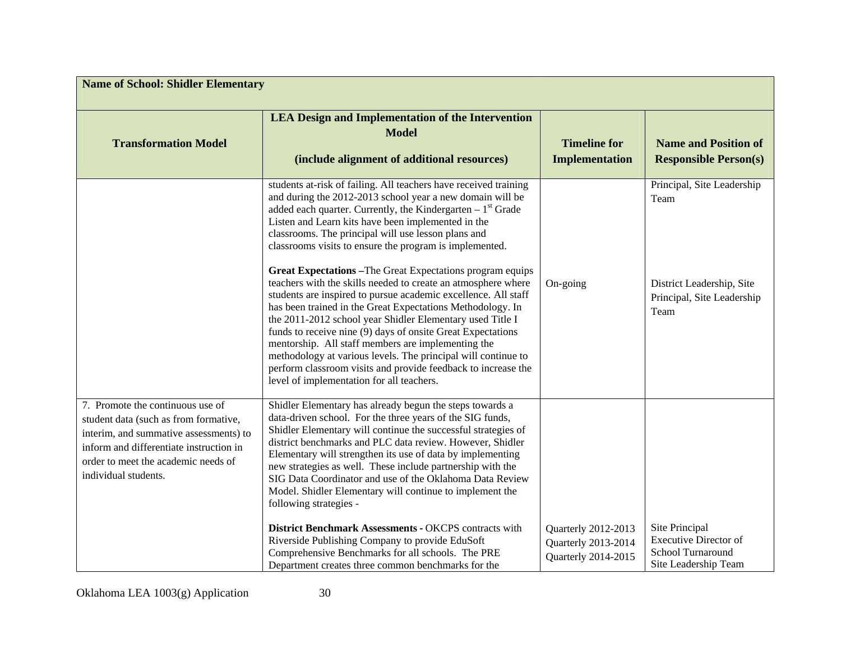| <b>Name of School: Shidler Elementary</b>                                                                                                                                                                                     |                                                                                                                                                                                                                                                                                                                                                                                                                                                                                                                                                                                                                                                                                                                                                                                                                                                                                                                                                                                                              |                                                                   |                                                                                                       |
|-------------------------------------------------------------------------------------------------------------------------------------------------------------------------------------------------------------------------------|--------------------------------------------------------------------------------------------------------------------------------------------------------------------------------------------------------------------------------------------------------------------------------------------------------------------------------------------------------------------------------------------------------------------------------------------------------------------------------------------------------------------------------------------------------------------------------------------------------------------------------------------------------------------------------------------------------------------------------------------------------------------------------------------------------------------------------------------------------------------------------------------------------------------------------------------------------------------------------------------------------------|-------------------------------------------------------------------|-------------------------------------------------------------------------------------------------------|
| <b>Transformation Model</b>                                                                                                                                                                                                   | <b>LEA Design and Implementation of the Intervention</b><br><b>Model</b><br>(include alignment of additional resources)                                                                                                                                                                                                                                                                                                                                                                                                                                                                                                                                                                                                                                                                                                                                                                                                                                                                                      | <b>Timeline for</b><br><b>Implementation</b>                      | <b>Name and Position of</b><br><b>Responsible Person(s)</b>                                           |
|                                                                                                                                                                                                                               | students at-risk of failing. All teachers have received training<br>and during the 2012-2013 school year a new domain will be<br>added each quarter. Currently, the Kindergarten $-1st$ Grade<br>Listen and Learn kits have been implemented in the<br>classrooms. The principal will use lesson plans and<br>classrooms visits to ensure the program is implemented.<br><b>Great Expectations - The Great Expectations program equips</b><br>teachers with the skills needed to create an atmosphere where<br>students are inspired to pursue academic excellence. All staff<br>has been trained in the Great Expectations Methodology. In<br>the 2011-2012 school year Shidler Elementary used Title I<br>funds to receive nine (9) days of onsite Great Expectations<br>mentorship. All staff members are implementing the<br>methodology at various levels. The principal will continue to<br>perform classroom visits and provide feedback to increase the<br>level of implementation for all teachers. | On-going                                                          | Principal, Site Leadership<br>Team<br>District Leadership, Site<br>Principal, Site Leadership<br>Team |
| 7. Promote the continuous use of<br>student data (such as from formative,<br>interim, and summative assessments) to<br>inform and differentiate instruction in<br>order to meet the academic needs of<br>individual students. | Shidler Elementary has already begun the steps towards a<br>data-driven school. For the three years of the SIG funds,<br>Shidler Elementary will continue the successful strategies of<br>district benchmarks and PLC data review. However, Shidler<br>Elementary will strengthen its use of data by implementing<br>new strategies as well. These include partnership with the<br>SIG Data Coordinator and use of the Oklahoma Data Review<br>Model. Shidler Elementary will continue to implement the<br>following strategies -                                                                                                                                                                                                                                                                                                                                                                                                                                                                            |                                                                   |                                                                                                       |
|                                                                                                                                                                                                                               | District Benchmark Assessments - OKCPS contracts with<br>Riverside Publishing Company to provide EduSoft<br>Comprehensive Benchmarks for all schools. The PRE<br>Department creates three common benchmarks for the                                                                                                                                                                                                                                                                                                                                                                                                                                                                                                                                                                                                                                                                                                                                                                                          | Quarterly 2012-2013<br>Quarterly 2013-2014<br>Quarterly 2014-2015 | Site Principal<br><b>Executive Director of</b><br>School Turnaround<br>Site Leadership Team           |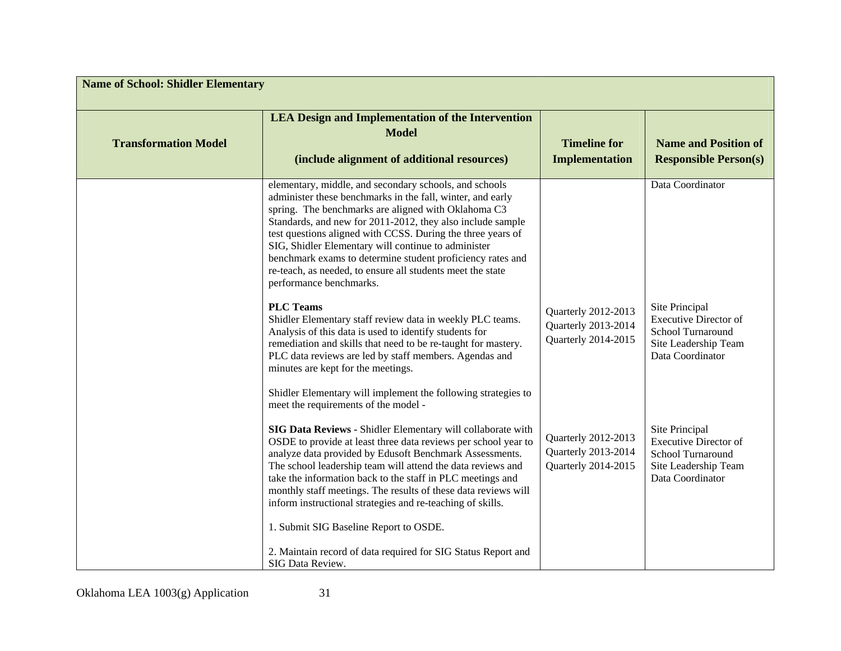| <b>Name of School: Shidler Elementary</b> |                                                                                                                                                                                                                                                                                                                                                                                                                                                                                                                                            |                                                                   |                                                                                                                 |
|-------------------------------------------|--------------------------------------------------------------------------------------------------------------------------------------------------------------------------------------------------------------------------------------------------------------------------------------------------------------------------------------------------------------------------------------------------------------------------------------------------------------------------------------------------------------------------------------------|-------------------------------------------------------------------|-----------------------------------------------------------------------------------------------------------------|
| <b>Transformation Model</b>               | <b>LEA Design and Implementation of the Intervention</b><br><b>Model</b><br>(include alignment of additional resources)                                                                                                                                                                                                                                                                                                                                                                                                                    | <b>Timeline for</b><br><b>Implementation</b>                      | <b>Name and Position of</b><br><b>Responsible Person(s)</b>                                                     |
|                                           | elementary, middle, and secondary schools, and schools<br>administer these benchmarks in the fall, winter, and early<br>spring. The benchmarks are aligned with Oklahoma C3<br>Standards, and new for 2011-2012, they also include sample<br>test questions aligned with CCSS. During the three years of<br>SIG, Shidler Elementary will continue to administer<br>benchmark exams to determine student proficiency rates and<br>re-teach, as needed, to ensure all students meet the state<br>performance benchmarks.<br><b>PLC Teams</b> | Quarterly 2012-2013                                               | Data Coordinator<br>Site Principal                                                                              |
|                                           | Shidler Elementary staff review data in weekly PLC teams.<br>Analysis of this data is used to identify students for<br>remediation and skills that need to be re-taught for mastery.<br>PLC data reviews are led by staff members. Agendas and<br>minutes are kept for the meetings.<br>Shidler Elementary will implement the following strategies to<br>meet the requirements of the model -                                                                                                                                              | Quarterly 2013-2014<br>Quarterly 2014-2015                        | <b>Executive Director of</b><br>School Turnaround<br>Site Leadership Team<br>Data Coordinator                   |
|                                           | SIG Data Reviews - Shidler Elementary will collaborate with<br>OSDE to provide at least three data reviews per school year to<br>analyze data provided by Edusoft Benchmark Assessments.<br>The school leadership team will attend the data reviews and<br>take the information back to the staff in PLC meetings and<br>monthly staff meetings. The results of these data reviews will<br>inform instructional strategies and re-teaching of skills.                                                                                      | Quarterly 2012-2013<br>Quarterly 2013-2014<br>Quarterly 2014-2015 | Site Principal<br><b>Executive Director of</b><br>School Turnaround<br>Site Leadership Team<br>Data Coordinator |
|                                           | 1. Submit SIG Baseline Report to OSDE.<br>2. Maintain record of data required for SIG Status Report and<br>SIG Data Review.                                                                                                                                                                                                                                                                                                                                                                                                                |                                                                   |                                                                                                                 |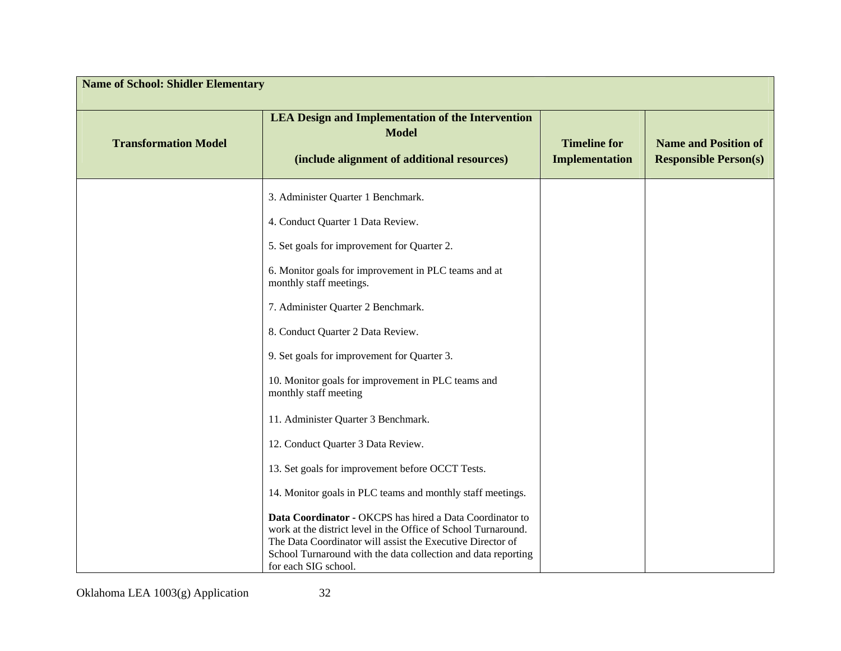| <b>Name of School: Shidler Elementary</b> |                                                                                                                                                                                                                                                                                   |                                              |                                                             |
|-------------------------------------------|-----------------------------------------------------------------------------------------------------------------------------------------------------------------------------------------------------------------------------------------------------------------------------------|----------------------------------------------|-------------------------------------------------------------|
| <b>Transformation Model</b>               | <b>LEA Design and Implementation of the Intervention</b><br><b>Model</b><br>(include alignment of additional resources)                                                                                                                                                           | <b>Timeline for</b><br><b>Implementation</b> | <b>Name and Position of</b><br><b>Responsible Person(s)</b> |
|                                           | 3. Administer Quarter 1 Benchmark.                                                                                                                                                                                                                                                |                                              |                                                             |
|                                           | 4. Conduct Quarter 1 Data Review.                                                                                                                                                                                                                                                 |                                              |                                                             |
|                                           | 5. Set goals for improvement for Quarter 2.                                                                                                                                                                                                                                       |                                              |                                                             |
|                                           | 6. Monitor goals for improvement in PLC teams and at<br>monthly staff meetings.                                                                                                                                                                                                   |                                              |                                                             |
|                                           | 7. Administer Quarter 2 Benchmark.                                                                                                                                                                                                                                                |                                              |                                                             |
|                                           | 8. Conduct Quarter 2 Data Review.                                                                                                                                                                                                                                                 |                                              |                                                             |
|                                           | 9. Set goals for improvement for Quarter 3.                                                                                                                                                                                                                                       |                                              |                                                             |
|                                           | 10. Monitor goals for improvement in PLC teams and<br>monthly staff meeting                                                                                                                                                                                                       |                                              |                                                             |
|                                           | 11. Administer Quarter 3 Benchmark.                                                                                                                                                                                                                                               |                                              |                                                             |
|                                           | 12. Conduct Quarter 3 Data Review.                                                                                                                                                                                                                                                |                                              |                                                             |
|                                           | 13. Set goals for improvement before OCCT Tests.                                                                                                                                                                                                                                  |                                              |                                                             |
|                                           | 14. Monitor goals in PLC teams and monthly staff meetings.                                                                                                                                                                                                                        |                                              |                                                             |
|                                           | Data Coordinator - OKCPS has hired a Data Coordinator to<br>work at the district level in the Office of School Turnaround.<br>The Data Coordinator will assist the Executive Director of<br>School Turnaround with the data collection and data reporting<br>for each SIG school. |                                              |                                                             |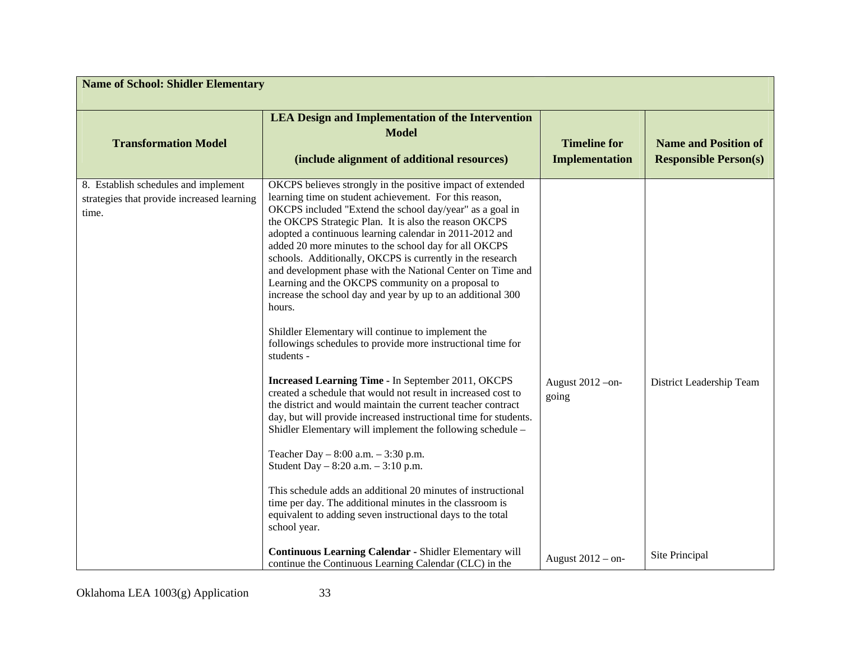| <b>Name of School: Shidler Elementary</b>                                                   |                                                                                                                                                                                                                                                                                                                                                                                                                                                                                                                                                                                                                                                                                                                                                                                                                                                                                                                                                                                                                                                                                                                                                                                                                                                                                                                                                                                |                                              |                                                             |
|---------------------------------------------------------------------------------------------|--------------------------------------------------------------------------------------------------------------------------------------------------------------------------------------------------------------------------------------------------------------------------------------------------------------------------------------------------------------------------------------------------------------------------------------------------------------------------------------------------------------------------------------------------------------------------------------------------------------------------------------------------------------------------------------------------------------------------------------------------------------------------------------------------------------------------------------------------------------------------------------------------------------------------------------------------------------------------------------------------------------------------------------------------------------------------------------------------------------------------------------------------------------------------------------------------------------------------------------------------------------------------------------------------------------------------------------------------------------------------------|----------------------------------------------|-------------------------------------------------------------|
| <b>Transformation Model</b>                                                                 | <b>LEA Design and Implementation of the Intervention</b><br><b>Model</b><br>(include alignment of additional resources)                                                                                                                                                                                                                                                                                                                                                                                                                                                                                                                                                                                                                                                                                                                                                                                                                                                                                                                                                                                                                                                                                                                                                                                                                                                        | <b>Timeline for</b><br><b>Implementation</b> | <b>Name and Position of</b><br><b>Responsible Person(s)</b> |
| 8. Establish schedules and implement<br>strategies that provide increased learning<br>time. | OKCPS believes strongly in the positive impact of extended<br>learning time on student achievement. For this reason,<br>OKCPS included "Extend the school day/year" as a goal in<br>the OKCPS Strategic Plan. It is also the reason OKCPS<br>adopted a continuous learning calendar in 2011-2012 and<br>added 20 more minutes to the school day for all OKCPS<br>schools. Additionally, OKCPS is currently in the research<br>and development phase with the National Center on Time and<br>Learning and the OKCPS community on a proposal to<br>increase the school day and year by up to an additional 300<br>hours.<br>Shildler Elementary will continue to implement the<br>followings schedules to provide more instructional time for<br>students -<br>Increased Learning Time - In September 2011, OKCPS<br>created a schedule that would not result in increased cost to<br>the district and would maintain the current teacher contract<br>day, but will provide increased instructional time for students.<br>Shidler Elementary will implement the following schedule –<br>Teacher Day $-8:00$ a.m. $-3:30$ p.m.<br>Student Day $-8:20$ a.m. $-3:10$ p.m.<br>This schedule adds an additional 20 minutes of instructional<br>time per day. The additional minutes in the classroom is<br>equivalent to adding seven instructional days to the total<br>school year. | August 2012 - on-<br>going                   | District Leadership Team                                    |
|                                                                                             | Continuous Learning Calendar - Shidler Elementary will<br>continue the Continuous Learning Calendar (CLC) in the                                                                                                                                                                                                                                                                                                                                                                                                                                                                                                                                                                                                                                                                                                                                                                                                                                                                                                                                                                                                                                                                                                                                                                                                                                                               | August $2012 - on$                           | Site Principal                                              |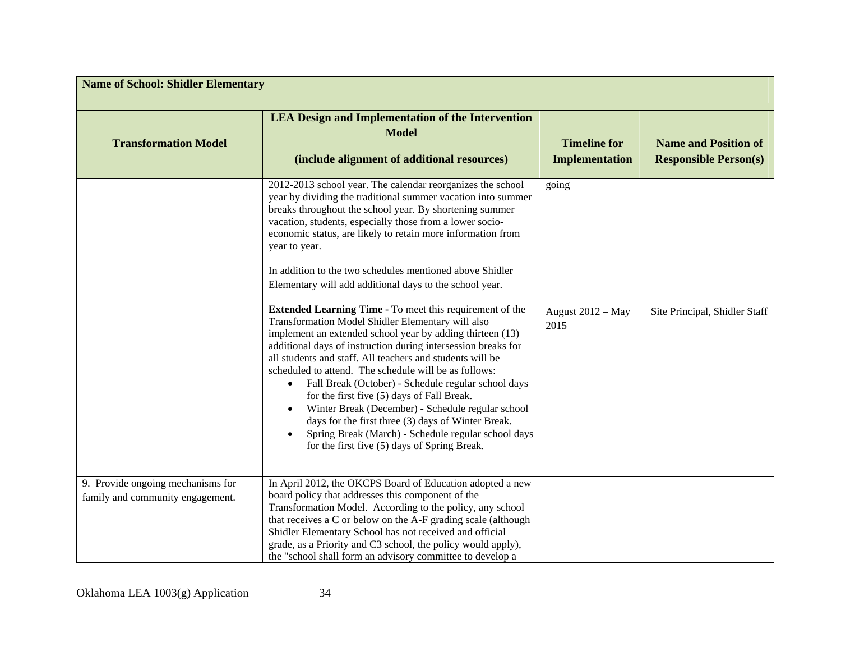| <b>Name of School: Shidler Elementary</b>                             |                                                                                                                                                                                                                                                                                                                                                                                                                                                                                                                                                                                                                                                                                                                                                                                                                                                                                                                                                                                                                                                                                                                                                             |                                              |                                                             |
|-----------------------------------------------------------------------|-------------------------------------------------------------------------------------------------------------------------------------------------------------------------------------------------------------------------------------------------------------------------------------------------------------------------------------------------------------------------------------------------------------------------------------------------------------------------------------------------------------------------------------------------------------------------------------------------------------------------------------------------------------------------------------------------------------------------------------------------------------------------------------------------------------------------------------------------------------------------------------------------------------------------------------------------------------------------------------------------------------------------------------------------------------------------------------------------------------------------------------------------------------|----------------------------------------------|-------------------------------------------------------------|
| <b>Transformation Model</b>                                           | <b>LEA Design and Implementation of the Intervention</b><br><b>Model</b><br>(include alignment of additional resources)                                                                                                                                                                                                                                                                                                                                                                                                                                                                                                                                                                                                                                                                                                                                                                                                                                                                                                                                                                                                                                     | <b>Timeline for</b><br><b>Implementation</b> | <b>Name and Position of</b><br><b>Responsible Person(s)</b> |
|                                                                       | 2012-2013 school year. The calendar reorganizes the school<br>year by dividing the traditional summer vacation into summer<br>breaks throughout the school year. By shortening summer<br>vacation, students, especially those from a lower socio-<br>economic status, are likely to retain more information from<br>year to year.<br>In addition to the two schedules mentioned above Shidler<br>Elementary will add additional days to the school year.<br><b>Extended Learning Time - To meet this requirement of the</b><br>Transformation Model Shidler Elementary will also<br>implement an extended school year by adding thirteen (13)<br>additional days of instruction during intersession breaks for<br>all students and staff. All teachers and students will be<br>scheduled to attend. The schedule will be as follows:<br>Fall Break (October) - Schedule regular school days<br>for the first five (5) days of Fall Break.<br>Winter Break (December) - Schedule regular school<br>days for the first three (3) days of Winter Break.<br>Spring Break (March) - Schedule regular school days<br>for the first five (5) days of Spring Break. | going<br>August 2012 - May<br>2015           | Site Principal, Shidler Staff                               |
| 9. Provide ongoing mechanisms for<br>family and community engagement. | In April 2012, the OKCPS Board of Education adopted a new<br>board policy that addresses this component of the                                                                                                                                                                                                                                                                                                                                                                                                                                                                                                                                                                                                                                                                                                                                                                                                                                                                                                                                                                                                                                              |                                              |                                                             |
|                                                                       | Transformation Model. According to the policy, any school<br>that receives a C or below on the A-F grading scale (although                                                                                                                                                                                                                                                                                                                                                                                                                                                                                                                                                                                                                                                                                                                                                                                                                                                                                                                                                                                                                                  |                                              |                                                             |
|                                                                       | Shidler Elementary School has not received and official<br>grade, as a Priority and C3 school, the policy would apply),<br>the "school shall form an advisory committee to develop a                                                                                                                                                                                                                                                                                                                                                                                                                                                                                                                                                                                                                                                                                                                                                                                                                                                                                                                                                                        |                                              |                                                             |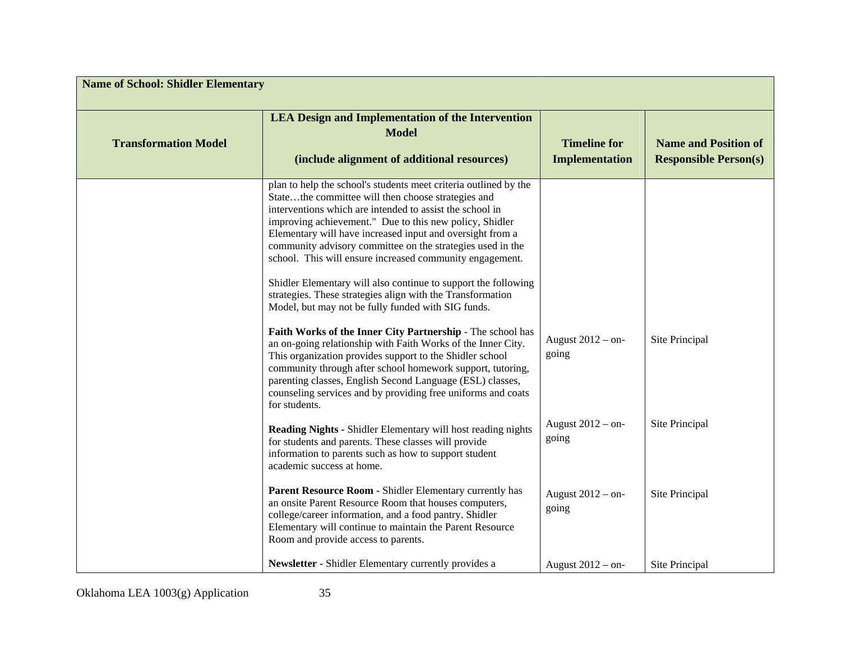| <b>Name of School: Shidler Elementary</b> |                                                                                                                                                                                                                                                                                                                                                                                                                                                                                                                                                                                                                            |                                              |                                                             |
|-------------------------------------------|----------------------------------------------------------------------------------------------------------------------------------------------------------------------------------------------------------------------------------------------------------------------------------------------------------------------------------------------------------------------------------------------------------------------------------------------------------------------------------------------------------------------------------------------------------------------------------------------------------------------------|----------------------------------------------|-------------------------------------------------------------|
| <b>Transformation Model</b>               | <b>LEA Design and Implementation of the Intervention</b><br><b>Model</b><br>(include alignment of additional resources)                                                                                                                                                                                                                                                                                                                                                                                                                                                                                                    | <b>Timeline for</b><br><b>Implementation</b> | <b>Name and Position of</b><br><b>Responsible Person(s)</b> |
|                                           | plan to help the school's students meet criteria outlined by the<br>Statethe committee will then choose strategies and<br>interventions which are intended to assist the school in<br>improving achievement." Due to this new policy, Shidler<br>Elementary will have increased input and oversight from a<br>community advisory committee on the strategies used in the<br>school. This will ensure increased community engagement.<br>Shidler Elementary will also continue to support the following<br>strategies. These strategies align with the Transformation<br>Model, but may not be fully funded with SIG funds. |                                              |                                                             |
|                                           | Faith Works of the Inner City Partnership - The school has<br>an on-going relationship with Faith Works of the Inner City.<br>This organization provides support to the Shidler school<br>community through after school homework support, tutoring,<br>parenting classes, English Second Language (ESL) classes,<br>counseling services and by providing free uniforms and coats<br>for students.                                                                                                                                                                                                                         | August 2012 - on-<br>going                   | Site Principal                                              |
|                                           | <b>Reading Nights - Shidler Elementary will host reading nights</b><br>for students and parents. These classes will provide<br>information to parents such as how to support student<br>academic success at home.                                                                                                                                                                                                                                                                                                                                                                                                          | August 2012 - on-<br>going                   | Site Principal                                              |
|                                           | Parent Resource Room - Shidler Elementary currently has<br>an onsite Parent Resource Room that houses computers,<br>college/career information, and a food pantry. Shidler<br>Elementary will continue to maintain the Parent Resource<br>Room and provide access to parents.                                                                                                                                                                                                                                                                                                                                              | August 2012 - on-<br>going                   | Site Principal                                              |
|                                           | Newsletter - Shidler Elementary currently provides a                                                                                                                                                                                                                                                                                                                                                                                                                                                                                                                                                                       | August 2012 - on-                            | Site Principal                                              |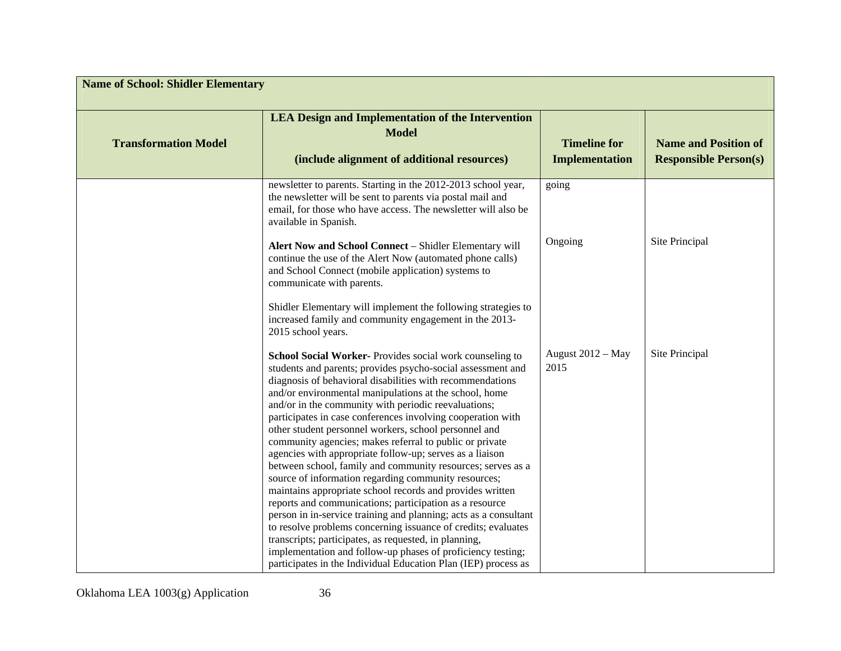| <b>Name of School: Shidler Elementary</b> |                                                                                                                                                                                                                                                                                                                                                                                                                                                                                                                                                                                                                                                                              |                                       |                                                             |
|-------------------------------------------|------------------------------------------------------------------------------------------------------------------------------------------------------------------------------------------------------------------------------------------------------------------------------------------------------------------------------------------------------------------------------------------------------------------------------------------------------------------------------------------------------------------------------------------------------------------------------------------------------------------------------------------------------------------------------|---------------------------------------|-------------------------------------------------------------|
| <b>Transformation Model</b>               | <b>LEA Design and Implementation of the Intervention</b><br><b>Model</b><br>(include alignment of additional resources)                                                                                                                                                                                                                                                                                                                                                                                                                                                                                                                                                      | <b>Timeline for</b><br>Implementation | <b>Name and Position of</b><br><b>Responsible Person(s)</b> |
|                                           | newsletter to parents. Starting in the 2012-2013 school year,<br>the newsletter will be sent to parents via postal mail and<br>email, for those who have access. The newsletter will also be<br>available in Spanish.                                                                                                                                                                                                                                                                                                                                                                                                                                                        | going                                 |                                                             |
|                                           | Alert Now and School Connect - Shidler Elementary will<br>continue the use of the Alert Now (automated phone calls)<br>and School Connect (mobile application) systems to<br>communicate with parents.                                                                                                                                                                                                                                                                                                                                                                                                                                                                       | Ongoing                               | Site Principal                                              |
|                                           | Shidler Elementary will implement the following strategies to<br>increased family and community engagement in the 2013-<br>2015 school years.                                                                                                                                                                                                                                                                                                                                                                                                                                                                                                                                |                                       |                                                             |
|                                           | School Social Worker- Provides social work counseling to<br>students and parents; provides psycho-social assessment and<br>diagnosis of behavioral disabilities with recommendations<br>and/or environmental manipulations at the school, home<br>and/or in the community with periodic reevaluations;<br>participates in case conferences involving cooperation with<br>other student personnel workers, school personnel and<br>community agencies; makes referral to public or private<br>agencies with appropriate follow-up; serves as a liaison<br>between school, family and community resources; serves as a<br>source of information regarding community resources; | August 2012 - May<br>2015             | Site Principal                                              |
|                                           | maintains appropriate school records and provides written<br>reports and communications; participation as a resource<br>person in in-service training and planning; acts as a consultant<br>to resolve problems concerning issuance of credits; evaluates<br>transcripts; participates, as requested, in planning,<br>implementation and follow-up phases of proficiency testing;<br>participates in the Individual Education Plan (IEP) process as                                                                                                                                                                                                                          |                                       |                                                             |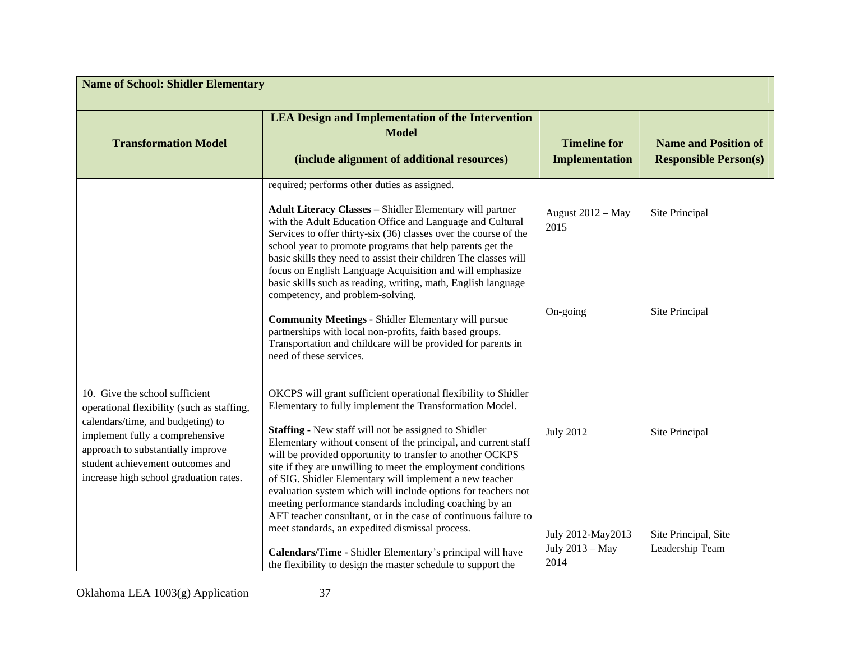| <b>Name of School: Shidler Elementary</b>                                                                                                                                                                                                                               |                                                                                                                                                                                                                                                                                                                                                                                                                                                                                                                                                                                                                                                                                                                                                                                                                                  |                                                                  |                                                             |
|-------------------------------------------------------------------------------------------------------------------------------------------------------------------------------------------------------------------------------------------------------------------------|----------------------------------------------------------------------------------------------------------------------------------------------------------------------------------------------------------------------------------------------------------------------------------------------------------------------------------------------------------------------------------------------------------------------------------------------------------------------------------------------------------------------------------------------------------------------------------------------------------------------------------------------------------------------------------------------------------------------------------------------------------------------------------------------------------------------------------|------------------------------------------------------------------|-------------------------------------------------------------|
| <b>Transformation Model</b>                                                                                                                                                                                                                                             | <b>LEA Design and Implementation of the Intervention</b><br><b>Model</b><br>(include alignment of additional resources)                                                                                                                                                                                                                                                                                                                                                                                                                                                                                                                                                                                                                                                                                                          | <b>Timeline for</b><br>Implementation                            | <b>Name and Position of</b><br><b>Responsible Person(s)</b> |
|                                                                                                                                                                                                                                                                         | required; performs other duties as assigned.<br><b>Adult Literacy Classes - Shidler Elementary will partner</b><br>with the Adult Education Office and Language and Cultural<br>Services to offer thirty-six (36) classes over the course of the<br>school year to promote programs that help parents get the<br>basic skills they need to assist their children The classes will<br>focus on English Language Acquisition and will emphasize<br>basic skills such as reading, writing, math, English language<br>competency, and problem-solving.<br><b>Community Meetings - Shidler Elementary will pursue</b><br>partnerships with local non-profits, faith based groups.<br>Transportation and childcare will be provided for parents in<br>need of these services.                                                          | August 2012 - May<br>2015<br>On-going                            | Site Principal<br>Site Principal                            |
| 10. Give the school sufficient<br>operational flexibility (such as staffing,<br>calendars/time, and budgeting) to<br>implement fully a comprehensive<br>approach to substantially improve<br>student achievement outcomes and<br>increase high school graduation rates. | OKCPS will grant sufficient operational flexibility to Shidler<br>Elementary to fully implement the Transformation Model.<br><b>Staffing - New staff will not be assigned to Shidler</b><br>Elementary without consent of the principal, and current staff<br>will be provided opportunity to transfer to another OCKPS<br>site if they are unwilling to meet the employment conditions<br>of SIG. Shidler Elementary will implement a new teacher<br>evaluation system which will include options for teachers not<br>meeting performance standards including coaching by an<br>AFT teacher consultant, or in the case of continuous failure to<br>meet standards, an expedited dismissal process.<br>Calendars/Time - Shidler Elementary's principal will have<br>the flexibility to design the master schedule to support the | <b>July 2012</b><br>July 2012-May2013<br>July 2013 - May<br>2014 | Site Principal<br>Site Principal, Site<br>Leadership Team   |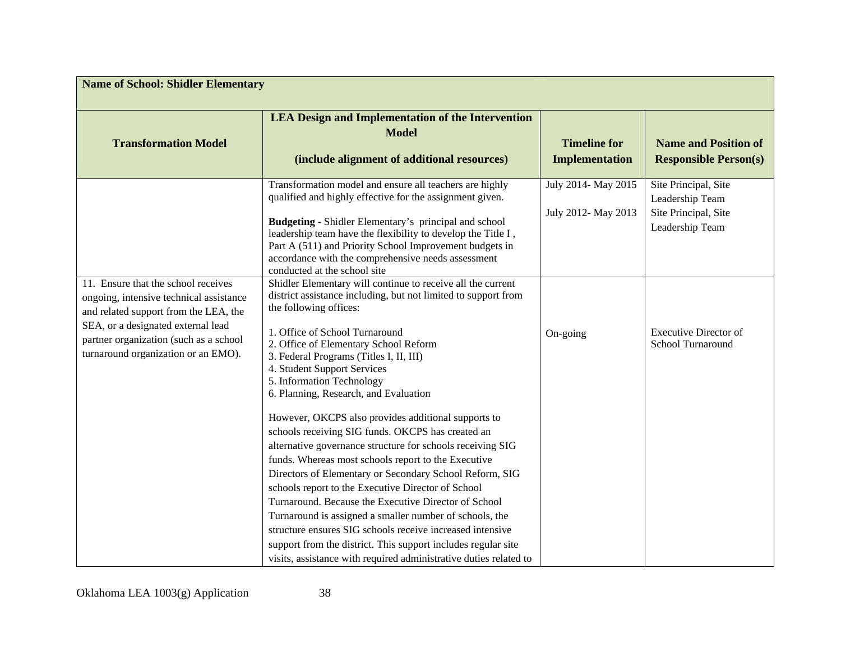| <b>Name of School: Shidler Elementary</b>                                                                                                                                                                                                      |                                                                                                                                                                                                                                                                                                                                                                                                                                                                                                                                                                                                                     |                                              |                                                                                    |  |  |  |
|------------------------------------------------------------------------------------------------------------------------------------------------------------------------------------------------------------------------------------------------|---------------------------------------------------------------------------------------------------------------------------------------------------------------------------------------------------------------------------------------------------------------------------------------------------------------------------------------------------------------------------------------------------------------------------------------------------------------------------------------------------------------------------------------------------------------------------------------------------------------------|----------------------------------------------|------------------------------------------------------------------------------------|--|--|--|
| <b>Transformation Model</b>                                                                                                                                                                                                                    | <b>LEA Design and Implementation of the Intervention</b><br><b>Model</b><br>(include alignment of additional resources)                                                                                                                                                                                                                                                                                                                                                                                                                                                                                             | <b>Timeline for</b><br><b>Implementation</b> | <b>Name and Position of</b><br><b>Responsible Person(s)</b>                        |  |  |  |
|                                                                                                                                                                                                                                                | Transformation model and ensure all teachers are highly<br>qualified and highly effective for the assignment given.<br><b>Budgeting - Shidler Elementary's principal and school</b><br>leadership team have the flexibility to develop the Title I,<br>Part A (511) and Priority School Improvement budgets in<br>accordance with the comprehensive needs assessment<br>conducted at the school site                                                                                                                                                                                                                | July 2014- May 2015<br>July 2012- May 2013   | Site Principal, Site<br>Leadership Team<br>Site Principal, Site<br>Leadership Team |  |  |  |
| 11. Ensure that the school receives<br>ongoing, intensive technical assistance<br>and related support from the LEA, the<br>SEA, or a designated external lead<br>partner organization (such as a school<br>turnaround organization or an EMO). | Shidler Elementary will continue to receive all the current<br>district assistance including, but not limited to support from<br>the following offices:<br>1. Office of School Turnaround<br>2. Office of Elementary School Reform<br>3. Federal Programs (Titles I, II, III)<br>4. Student Support Services<br>5. Information Technology<br>6. Planning, Research, and Evaluation<br>However, OKCPS also provides additional supports to<br>schools receiving SIG funds. OKCPS has created an<br>alternative governance structure for schools receiving SIG<br>funds. Whereas most schools report to the Executive | On-going                                     | <b>Executive Director of</b><br>School Turnaround                                  |  |  |  |
|                                                                                                                                                                                                                                                | Directors of Elementary or Secondary School Reform, SIG<br>schools report to the Executive Director of School<br>Turnaround. Because the Executive Director of School<br>Turnaround is assigned a smaller number of schools, the<br>structure ensures SIG schools receive increased intensive<br>support from the district. This support includes regular site<br>visits, assistance with required administrative duties related to                                                                                                                                                                                 |                                              |                                                                                    |  |  |  |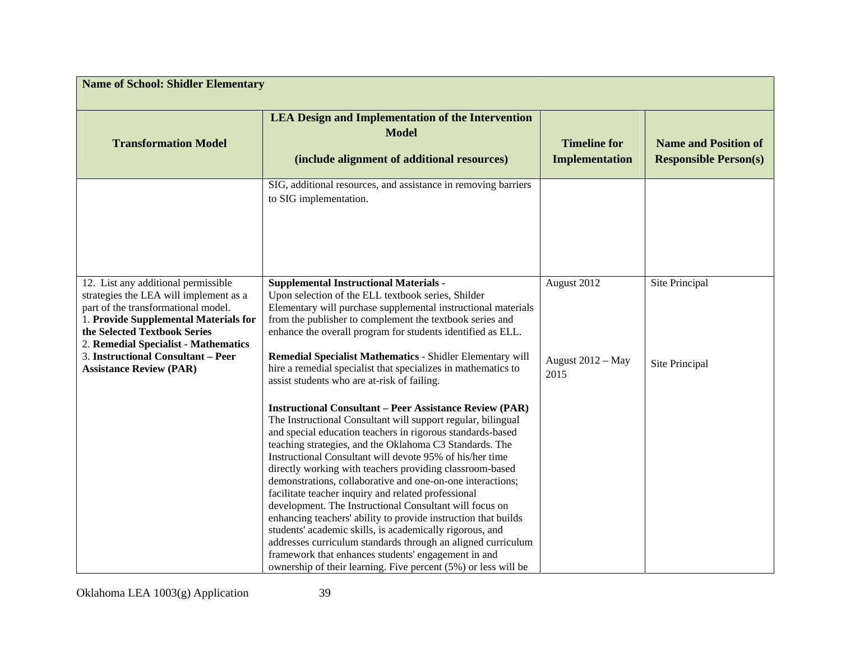| <b>Name of School: Shidler Elementary</b>                                                                                                                                                                                                                                                                     |                                                                                                                                                                                                                                                                                                                                                                                                                                                                                                                                                                                                                                                                                                                                                                                                                                                                                        |                                          |                                                             |  |  |  |
|---------------------------------------------------------------------------------------------------------------------------------------------------------------------------------------------------------------------------------------------------------------------------------------------------------------|----------------------------------------------------------------------------------------------------------------------------------------------------------------------------------------------------------------------------------------------------------------------------------------------------------------------------------------------------------------------------------------------------------------------------------------------------------------------------------------------------------------------------------------------------------------------------------------------------------------------------------------------------------------------------------------------------------------------------------------------------------------------------------------------------------------------------------------------------------------------------------------|------------------------------------------|-------------------------------------------------------------|--|--|--|
| <b>Transformation Model</b>                                                                                                                                                                                                                                                                                   | <b>LEA Design and Implementation of the Intervention</b><br><b>Model</b><br>(include alignment of additional resources)                                                                                                                                                                                                                                                                                                                                                                                                                                                                                                                                                                                                                                                                                                                                                                | <b>Timeline for</b><br>Implementation    | <b>Name and Position of</b><br><b>Responsible Person(s)</b> |  |  |  |
|                                                                                                                                                                                                                                                                                                               | SIG, additional resources, and assistance in removing barriers<br>to SIG implementation.                                                                                                                                                                                                                                                                                                                                                                                                                                                                                                                                                                                                                                                                                                                                                                                               |                                          |                                                             |  |  |  |
| 12. List any additional permissible<br>strategies the LEA will implement as a<br>part of the transformational model.<br>1. Provide Supplemental Materials for<br>the Selected Textbook Series<br>2. Remedial Specialist - Mathematics<br>3. Instructional Consultant - Peer<br><b>Assistance Review (PAR)</b> | <b>Supplemental Instructional Materials -</b><br>Upon selection of the ELL textbook series, Shilder<br>Elementary will purchase supplemental instructional materials<br>from the publisher to complement the textbook series and<br>enhance the overall program for students identified as ELL.<br>Remedial Specialist Mathematics - Shidler Elementary will<br>hire a remedial specialist that specializes in mathematics to<br>assist students who are at-risk of failing.                                                                                                                                                                                                                                                                                                                                                                                                           | August 2012<br>August 2012 - May<br>2015 | Site Principal<br>Site Principal                            |  |  |  |
|                                                                                                                                                                                                                                                                                                               | <b>Instructional Consultant - Peer Assistance Review (PAR)</b><br>The Instructional Consultant will support regular, bilingual<br>and special education teachers in rigorous standards-based<br>teaching strategies, and the Oklahoma C3 Standards. The<br>Instructional Consultant will devote 95% of his/her time<br>directly working with teachers providing classroom-based<br>demonstrations, collaborative and one-on-one interactions;<br>facilitate teacher inquiry and related professional<br>development. The Instructional Consultant will focus on<br>enhancing teachers' ability to provide instruction that builds<br>students' academic skills, is academically rigorous, and<br>addresses curriculum standards through an aligned curriculum<br>framework that enhances students' engagement in and<br>ownership of their learning. Five percent (5%) or less will be |                                          |                                                             |  |  |  |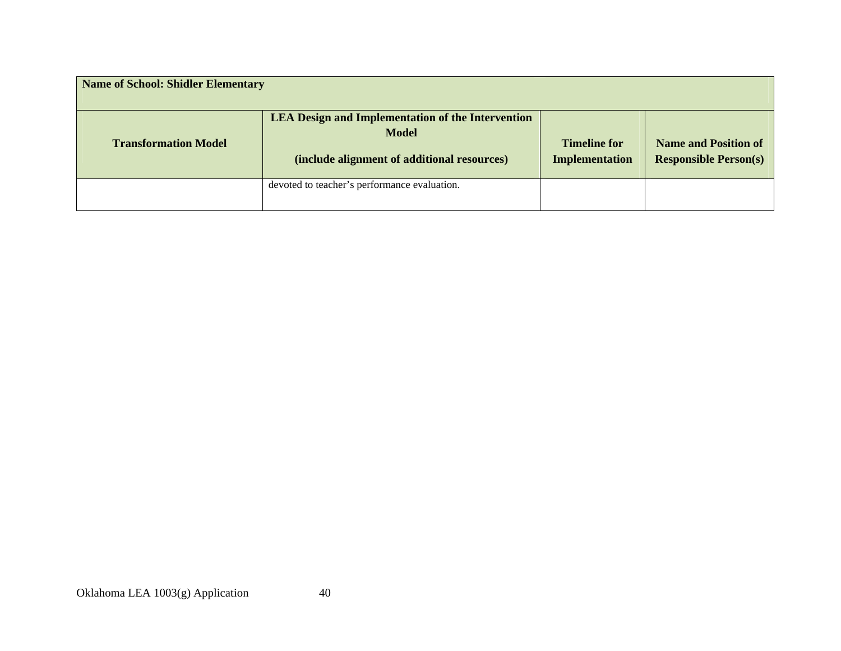| <b>Name of School: Shidler Elementary</b> |                                                                                                                         |                                              |                                                             |  |  |  |
|-------------------------------------------|-------------------------------------------------------------------------------------------------------------------------|----------------------------------------------|-------------------------------------------------------------|--|--|--|
| <b>Transformation Model</b>               | <b>LEA Design and Implementation of the Intervention</b><br><b>Model</b><br>(include alignment of additional resources) | <b>Timeline for</b><br><b>Implementation</b> | <b>Name and Position of</b><br><b>Responsible Person(s)</b> |  |  |  |
|                                           | devoted to teacher's performance evaluation.                                                                            |                                              |                                                             |  |  |  |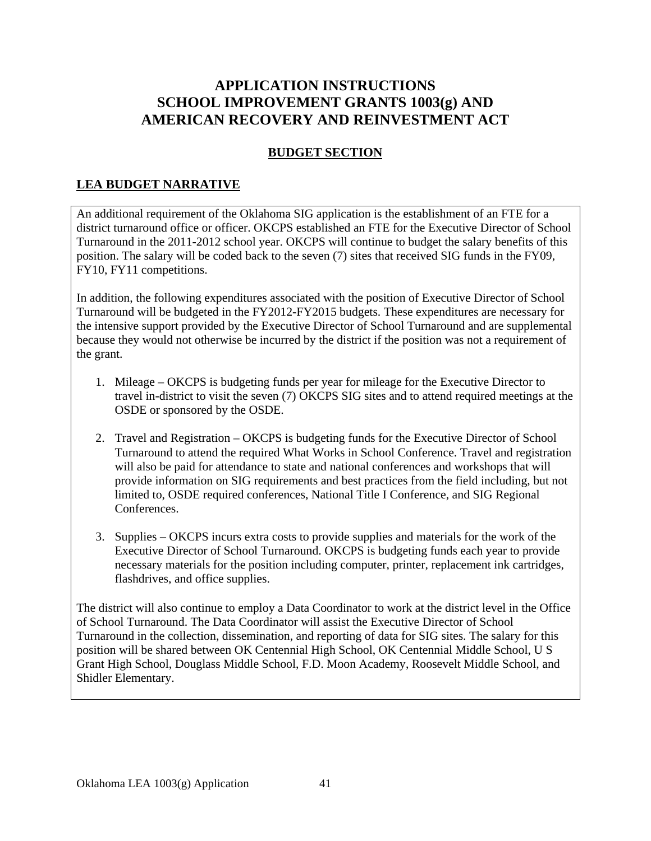# **APPLICATION INSTRUCTIONS SCHOOL IMPROVEMENT GRANTS 1003(g) AND AMERICAN RECOVERY AND REINVESTMENT ACT**

## **BUDGET SECTION**

## **LEA BUDGET NARRATIVE**

An additional requirement of the Oklahoma SIG application is the establishment of an FTE for a district turnaround office or officer. OKCPS established an FTE for the Executive Director of School Turnaround in the 2011-2012 school year. OKCPS will continue to budget the salary benefits of this position. The salary will be coded back to the seven (7) sites that received SIG funds in the FY09, FY10, FY11 competitions.

In addition, the following expenditures associated with the position of Executive Director of School Turnaround will be budgeted in the FY2012-FY2015 budgets. These expenditures are necessary for the intensive support provided by the Executive Director of School Turnaround and are supplemental because they would not otherwise be incurred by the district if the position was not a requirement of the grant.

- 1. Mileage OKCPS is budgeting funds per year for mileage for the Executive Director to travel in-district to visit the seven (7) OKCPS SIG sites and to attend required meetings at the OSDE or sponsored by the OSDE.
- 2. Travel and Registration OKCPS is budgeting funds for the Executive Director of School Turnaround to attend the required What Works in School Conference. Travel and registration will also be paid for attendance to state and national conferences and workshops that will provide information on SIG requirements and best practices from the field including, but not limited to, OSDE required conferences, National Title I Conference, and SIG Regional Conferences.
- 3. Supplies OKCPS incurs extra costs to provide supplies and materials for the work of the Executive Director of School Turnaround. OKCPS is budgeting funds each year to provide necessary materials for the position including computer, printer, replacement ink cartridges, flashdrives, and office supplies.

The district will also continue to employ a Data Coordinator to work at the district level in the Office of School Turnaround. The Data Coordinator will assist the Executive Director of School Turnaround in the collection, dissemination, and reporting of data for SIG sites. The salary for this position will be shared between OK Centennial High School, OK Centennial Middle School, U S Grant High School, Douglass Middle School, F.D. Moon Academy, Roosevelt Middle School, and Shidler Elementary.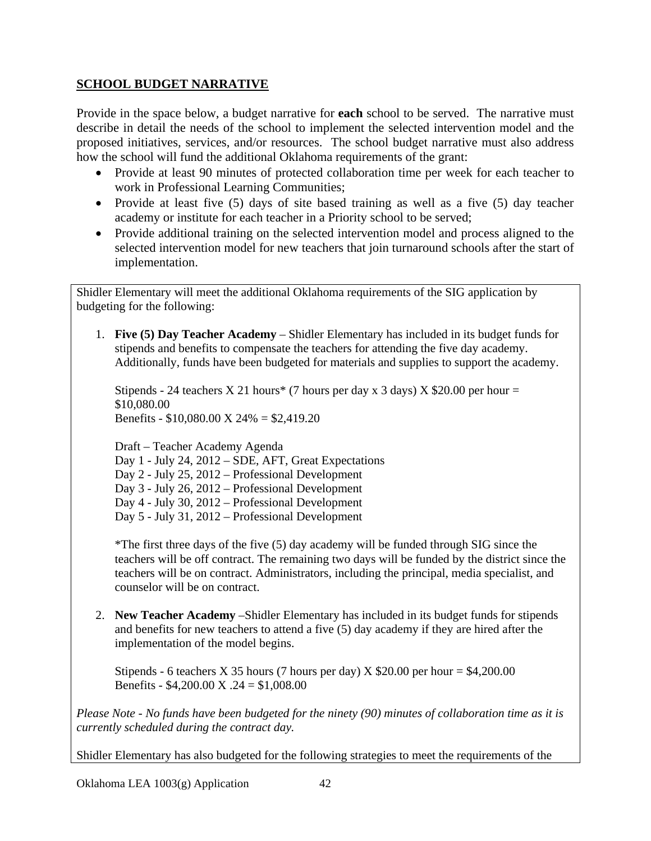## **SCHOOL BUDGET NARRATIVE**

Provide in the space below, a budget narrative for **each** school to be served. The narrative must describe in detail the needs of the school to implement the selected intervention model and the proposed initiatives, services, and/or resources. The school budget narrative must also address how the school will fund the additional Oklahoma requirements of the grant:

- Provide at least 90 minutes of protected collaboration time per week for each teacher to work in Professional Learning Communities;
- Provide at least five (5) days of site based training as well as a five (5) day teacher academy or institute for each teacher in a Priority school to be served;
- Provide additional training on the selected intervention model and process aligned to the selected intervention model for new teachers that join turnaround schools after the start of implementation.

Shidler Elementary will meet the additional Oklahoma requirements of the SIG application by budgeting for the following:

1. **Five (5) Day Teacher Academy** – Shidler Elementary has included in its budget funds for stipends and benefits to compensate the teachers for attending the five day academy. Additionally, funds have been budgeted for materials and supplies to support the academy.

Stipends - 24 teachers X 21 hours\* (7 hours per day x 3 days) X \$20.00 per hour = \$10,080.00 Benefits - \$10,080.00 X 24% = \$2,419.20

Draft – Teacher Academy Agenda Day 1 - July 24, 2012 – SDE, AFT, Great Expectations Day 2 - July 25, 2012 – Professional Development Day 3 - July 26, 2012 – Professional Development Day 4 - July 30, 2012 – Professional Development Day 5 - July 31, 2012 – Professional Development

\*The first three days of the five (5) day academy will be funded through SIG since the teachers will be off contract. The remaining two days will be funded by the district since the teachers will be on contract. Administrators, including the principal, media specialist, and counselor will be on contract.

2. **New Teacher Academy** –Shidler Elementary has included in its budget funds for stipends and benefits for new teachers to attend a five (5) day academy if they are hired after the implementation of the model begins.

Stipends - 6 teachers X 35 hours (7 hours per day) X  $$20.00$  per hour = \$4,200.00 Benefits - \$4,200.00 X .24 = \$1,008.00

*Please Note - No funds have been budgeted for the ninety (90) minutes of collaboration time as it is currently scheduled during the contract day.* 

Shidler Elementary has also budgeted for the following strategies to meet the requirements of the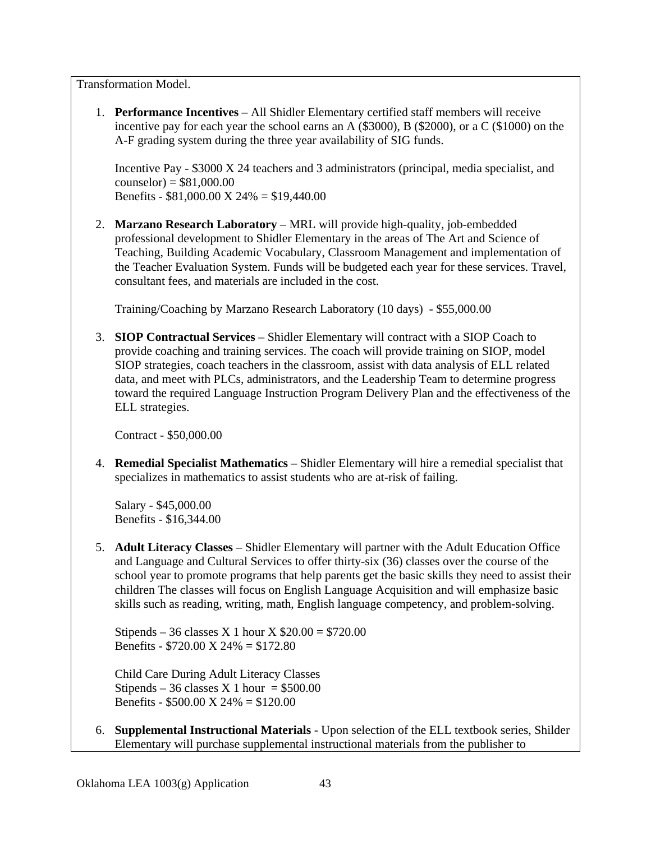Transformation Model.

1. **Performance Incentives** – All Shidler Elementary certified staff members will receive incentive pay for each year the school earns an A  $(\$3000)$ , B  $(\$2000)$ , or a C  $(\$1000)$  on the A-F grading system during the three year availability of SIG funds.

Incentive Pay - \$3000 X 24 teachers and 3 administrators (principal, media specialist, and  $counselor = $81,000.00$ Benefits - \$81,000.00 X 24% = \$19,440.00

2. **Marzano Research Laboratory** – MRL will provide high-quality, job-embedded professional development to Shidler Elementary in the areas of The Art and Science of Teaching, Building Academic Vocabulary, Classroom Management and implementation of the Teacher Evaluation System. Funds will be budgeted each year for these services. Travel, consultant fees, and materials are included in the cost.

Training/Coaching by Marzano Research Laboratory (10 days) - \$55,000.00

3. **SIOP Contractual Services** – Shidler Elementary will contract with a SIOP Coach to provide coaching and training services. The coach will provide training on SIOP, model SIOP strategies, coach teachers in the classroom, assist with data analysis of ELL related data, and meet with PLCs, administrators, and the Leadership Team to determine progress toward the required Language Instruction Program Delivery Plan and the effectiveness of the ELL strategies.

Contract - \$50,000.00

4. **Remedial Specialist Mathematics** – Shidler Elementary will hire a remedial specialist that specializes in mathematics to assist students who are at-risk of failing.

Salary - \$45,000.00 Benefits - \$16,344.00

5. **Adult Literacy Classes** – Shidler Elementary will partner with the Adult Education Office and Language and Cultural Services to offer thirty-six (36) classes over the course of the school year to promote programs that help parents get the basic skills they need to assist their children The classes will focus on English Language Acquisition and will emphasize basic skills such as reading, writing, math, English language competency, and problem-solving.

Stipends – 36 classes X 1 hour X  $$20.00 = $720.00$ Benefits - \$720.00 X 24% = \$172.80

Child Care During Adult Literacy Classes Stipends – 36 classes X 1 hour =  $$500.00$ Benefits - \$500.00 X 24% = \$120.00

6. **Supplemental Instructional Materials** - Upon selection of the ELL textbook series, Shilder Elementary will purchase supplemental instructional materials from the publisher to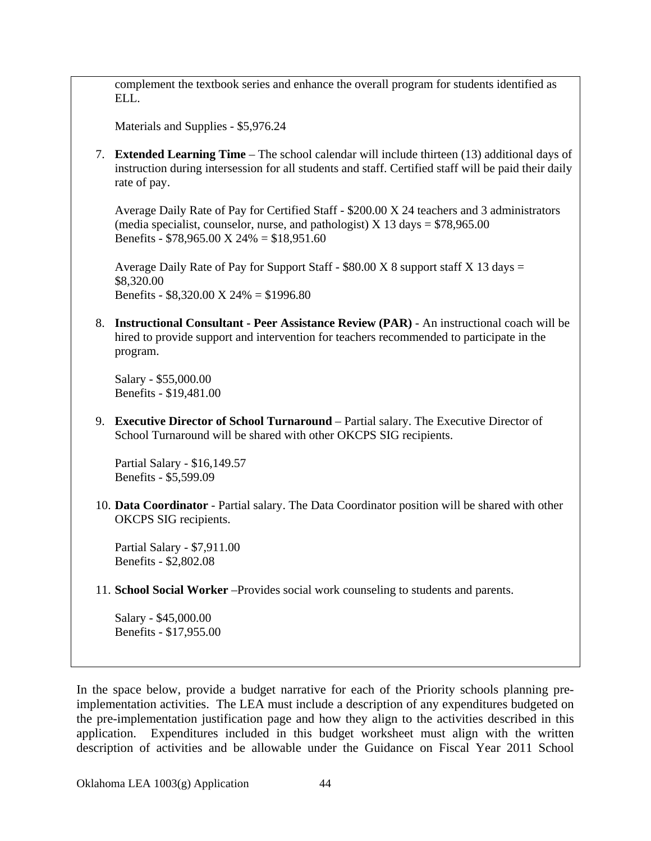complement the textbook series and enhance the overall program for students identified as ELL.

Materials and Supplies - \$5,976.24

7. **Extended Learning Time** – The school calendar will include thirteen (13) additional days of instruction during intersession for all students and staff. Certified staff will be paid their daily rate of pay.

Average Daily Rate of Pay for Certified Staff - \$200.00 X 24 teachers and 3 administrators (media specialist, counselor, nurse, and pathologist)  $X$  13 days = \$78,965.00 Benefits - \$78,965.00 X 24% = \$18,951.60

Average Daily Rate of Pay for Support Staff -  $$80.00 X 8$  support staff X 13 days = \$8,320.00 Benefits - \$8,320.00 X 24% = \$1996.80

8. **Instructional Consultant - Peer Assistance Review (PAR)** - An instructional coach will be hired to provide support and intervention for teachers recommended to participate in the program.

Salary - \$55,000.00 Benefits - \$19,481.00

9. **Executive Director of School Turnaround** – Partial salary. The Executive Director of School Turnaround will be shared with other OKCPS SIG recipients.

Partial Salary - \$16,149.57 Benefits - \$5,599.09

10. **Data Coordinator** - Partial salary. The Data Coordinator position will be shared with other OKCPS SIG recipients.

Partial Salary - \$7,911.00 Benefits - \$2,802.08

11. **School Social Worker** –Provides social work counseling to students and parents.

Salary - \$45,000.00 Benefits - \$17,955.00

In the space below, provide a budget narrative for each of the Priority schools planning preimplementation activities. The LEA must include a description of any expenditures budgeted on the pre-implementation justification page and how they align to the activities described in this application. Expenditures included in this budget worksheet must align with the written description of activities and be allowable under the Guidance on Fiscal Year 2011 School